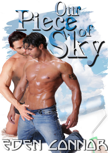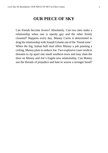## **OUR PIECE OF SKY**

Can friends become lovers? Absolutely. Can two men make a relationship when one is openly gay and the other firmly closeted? Happens every day. Manny Curtis is determined to drag his relationship with Joseph Gilante out of the 'friend zone'. When the big, Italian bull stud offers Manny a job painting a ceiling, Manny plots to seduce Joe. Two explosive court verdicts threaten to rip apart one small southern town and may slam the door on Manny and Joe's fragile new relationship. Can Manny use the threads of prejudice and hate to weave a stronger bond?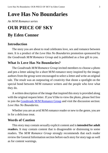# **Love Has No Boundaries**

## *An M/M Romance series*

# **OUR PIECE OF SKY By Eden Connor**

## **Introduction**

The story you are about to read celebrates love, sex and romance between men. It is a product of the *Love Has No Boundaries* promotion sponsored by the *Goodreads M/M Romance Group* and is published as a free gift to you.

## **What Is Love Has No Boundaries?**

The *Goodreads M/M Romance Group* invited members to choose a photo and pen a letter asking for a short M/M romance story inspired by the image; authors from the group were encouraged to select a letter and write an original tale. The result was an outpouring of creativity that shone a spotlight on the special bond between M/M romance writers and the people who love what they do.

A written description of the image that inspired this story is provided along with the original request letter. If you'd like to view the photo, please feel free to join the [Goodreads M/M Romance Group](http://www.goodreads.com/group/show/20149-m-m-romance) and visit the discussion section: *Love Has No Boundaries*.

Whether you are an avid M/M romance reader or new to the genre, you are in for a delicious treat.

## **Words of Caution**

This story may contain sexually explicit content and is **intended for adult readers.** It may contain content that is disagreeable or distressing to some readers. The *M/M Romance Group* strongly recommends that each reader review the General Information section before each story for story tags as well as for content warnings.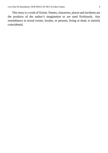This story is a work of fiction. Names, characters, places and incidents are the products of the author's imagination or are used fictitiously. Any resemblance to actual events, locales, or persons, living or dead, is entirely coincidental.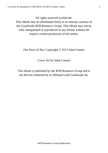All rights reserved worldwide.

This eBook may be distributed freely in its entirety courtesy of the *Goodreads M/M Romance Group*. This eBook may not be sold, manipulated or reproduced in any format without the express written permission of the author.

Our Piece of Sky, Copyright © 2013 Eden Connor

Cover Art by Eden Connor

This ebook is published by the *M/M Romance Group* and is not directly endorsed by or affiliated with Goodreads Inc.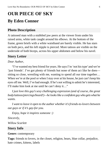# **OUR PIECE OF SKY By Eden Connor**

## **Photo Description**

A tattooed man with a stubbled jaw peers at the viewer from under his raised arms, white tank caught around his elbows. At the bottom of the frame, green briefs with a white waistband are barely visible. He has stars on both pecs, and his left nipple is pierced. More tattoos are visible on the underside of both biceps, across his upper abdomen and below his navel.

## **Story Letter**

## *Dear Author,*

"I've wanted my best friend for years. He says I'm 'not his type' and we're 'just friends'. I've got plenty of friends but none of them act like he does sitting so close, wrestling with me, wanting to spend all our time together… When we're at the pool or when I stay over at his house, he just can't keep his eyes off me. Well, I've had enough. If he's not willing to admit he's interested, I'll make him look at me until he can't deny it…"

*I just love this guy's sexy challenging expression (and of course, the great body/tattoos/piercings/beard!)—he lookslike a confident guywho getswhat he wants.*

*I want to leave it open to the author whether it's friends-to-lovers between out guys or if it's gay-for-you.*

*Enjoy, hope it inspires someone :)*

*Sincerely,*

*Willow Scarlett*

## **Story Info**

## **Genre:** contemporary

**Tags:** friends to lovers, in the closet, religion, bears, blue collar, prejudice, hate crimes, kittens, labels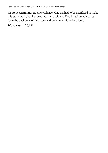**Content warnings**: graphic violence; One cat had to be sacrificed to make this story work, but her death was an accident. Two brutal assault cases form the backbone of this story and both are vividly described.

**Word count:** 26,131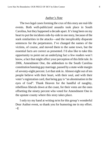#### *Author's Note*

The two legal cases forming the crux of this story are real-life events. Both well-publicized assaults took place in South Carolina, but they happened a decade apart. It'slong been on my heart to put the incidents side-by-side in one story, because of the stark similarities in the attacks—and the inexplicably disparate sentences for the perpetrators. I've changed the names of the victims, of course, and moved them to the same town, but the essential facts are correct as presented. I'd also like to take this opportunity to point out an underlying fact a few readers won't know, a fact that might affect your perception of this little tale. In 2006, Amendment One, the addendum to the South Carolina constitution banning gay marriage, passed by a state-wide margin of seventy-eight percent. Let that sink in. Almost eight out of ten people believe with their heart, with their soul, and with their voter's registration card, that being gay is "an abomination in the eyes of God". Thank Heaven for the handful of naughty, rebellious liberals down at the coast, for their votes are the ones offsetting the ninety percent who voted for Amendment One in the upstate county where this story takes place.

I only try my hand at writing m/m for this group's wonderful Dear Author event, so thank you for humoring me in my effort.  $~\sim$ E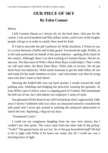# **OUR PIECE OF SKY By Eden Connor**

#### *Manny*

I left Carmine House as I always do, by the back door. Also par for the course, I was seven hundred and fifty dollars richer, and in awe of the lengths people will go to in order to satisfy their need for kink.

If I had to describe the job I perform for Willa Seachrist, I'd have to say it's a cross between a fluffer and a body guard. You heard me right. Fluffer, as in the task performed on behalf of the porn industry—getting dicks hard for the camera. Although, there's no dick-sucking at Carmine House. Not by us, anyway. Not that most of Willa's Back Door Boys would object. That's what we call each other, the Back Door Boys. Willa calls us escorts. We do get dicks hard, but indirectly. Willa needs someone to get her little fillies all wet and ready for her male members to fuck—and what better way than by using men who don't want to fuck them?

Shoving the folded bills into my back pocket, I strode toward the staff parking area, whistling and dodging the peacocks roaming the grounds. At least Willa's pet of choice wasn't a yapping pack of Yorkies. She intimidated the hell out of me, but I did admire my employer's sense of style.

Sun gleamed off the hood of my old Ford pickup when I approached. Odd, since I haven't bothered with wax since an uninsured motorist crunched the side panel and I never got around to painting the junkyard replacement to match the rest. Squinting, I dug out my keys.

"Emmanuel Curtis."

I could see my sunglasses dangling from my rear view mirror, but I couldn't see who spoke. The voice came from the other side of the pickup. "Yeah?" The guests know me as Curt. *So, is this guy household staff?* He had to be in tight with Willa if he knew my name, but all I could see was a dazzling burst of light.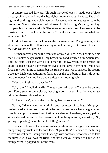A figure stepped forward. Through narrowed eyes, I made out a black tuxedo, spiky hair, and two-day beard, but not much about his face. The gladrags marked this guy as a club member. It seemed odd for a guest to roam the grounds on Sunday afternoon, still dressed for Friday night's party, but, hey, rich people do some weird shit. The stranger moved closer. He seemed to be looking over my shoulder at the house. "It's like a shrine to getting what you want, isn't it?"

I didn't have to look back to see the massive home. The gleaming white structure—a mere three floors soaring more than sixty feet—was reflected in the side window. "Sure is."

The man moved around the front end of my old Ford. Now I could see his face. He looked sexy as hell, all big brown eyes and bronzed skin. Square jaw. Tall, but trim. Just the way I like a man to look… Well, to be perfect, he could've been bigger. I lowered my eyes to the keys in my hand. Willa had fired a few for failing to remember the rule. No one was to suspect the escorts were gay. Male competition for females was the backbone of her little setup, and the money I earned here underwrites my shopping habit.

"Hey, can I ask you a question?"

"Uh, sure," I replied warily. The guy seemed to set off a buzz below my belt. Every step he came closer, that tingle got stronger. I really need to get laid after these club weekends.

"If I say 'love', what's the first thing that comes to mind?"

So far, I'd managed to work in one semester of college. My psych professor asked the class to describe the body's reactions when you got pulled over by a cop… increased respiration, accelerated heartbeat, sweaty palms. When she had the entire class's agreement on the symptoms, she asked, "So, getting a speeding ticket feels like falling in love?"

The anecdote wasn't an answer to his question, so I shrugged and worked on opening my truck's balky door lock. "I got nothin'." Seemed to me falling in love wasn't hard. Going over that edge with someone who wanted to take the tumble with you was the trick. And not a convo I wanted to have with a stranger who'd popped out of the trees.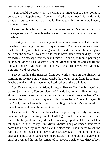"You should go after what you want. That mountain is never going to come to you." Stepping away from my truck, the man shoved his hands in his pants pockets, sauntering across the lot like he took his tux for a walk every day at sundown.

I stared at his reflection, puzzling over what he could've meant. It wasn't like anyone *knew*. I'd never breathed a word to anyone about what I wanted… or whom.

The vinyl upholstery burned my ass through my jeans when I slid behind the wheel. First thing, I jammed on my sunglasses. The metal nosepiece seared the bridge of my nose, but thinking about Joe made me shiver. Liberating my cell from the console—we aren't allowed to have them when on duty—I was stoked to see a message from the man himself. He had a job for me, painting a ceiling, but only if I could start first thing Monday morning and stay till the job was finished. My heart did a bad Macarena. Tomorrow was Monday. Tomorrow, I'd see Joseph.

Maybe reading the message from Joe while sitting in the shadow of Carmine House gave me the idea. Maybe the thought came from the stranger. Maybe the plan taking shape in my head had been there all along.

See, I've wanted my best friend for years. He says I'm "not his type" and we're "just friends". I've got plenty of friends but none act like he does sitting so close, wrestling with me, wanting to spend time together. When we're at the pool or when I stay over at his house, he can't keep his eyes off me. Well, I've had enough. If he's not willing to admit he's interested, I'll make him look at me until he can't deny it.

I came back to South Carolina when I injured my leg. My big break, dancing backup for Brittney, and I fell offstage. Cloaked in failure, I checked out of the hospital and limped back to my ratty apartment to find a letter telling me I'd inherited my Aunt Myrtle's house. The plan I made then was to come back, rehab my knee, and clean the place out. I had in mind to sell the ramshackle mill house, and maybe give Broadway a try. Nothing here had changed in the twelve years since I'd graduated high school. The town was as small as ever, and the mindset remained as narrow. God knows, I'd never been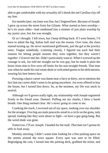able to get comfortable with my sexuality till I shook the red Carolina clay off my feet.

Six months later, my knee was fine, but I lingered here. Because of Joseph. I grew up across the street from Joe Gilante. What started as hero worship he's six years older—had condensed into a simmer of just plain worship by my junior year, but Joe was straight.

Or so I thought. I left town, but I keep drifting back. If I were honest, I'd have to admit the big, Italian bull stud was the reason. Over time, the clues started turning up. He never mentioned girlfriends, just the gal at the jewelry store, Teague somebody. Listening closely, I figured out each had their reasons for letting people assume they were together, but they weren't *together*. I'd never met her. Didn't particularly want to. When I screwed up the courage to ask, Joe told me straight out he was gay, but he made it plain the hours from nine to five were off limits for his non-straight friends. That time was when he made his real estate deals or welcomed guests to his delicatessen, wearing his best hetero face.

Pursuing a dance career was damn near a farce at thirty, not to mention the fact that my career didn't seem to be going anywhere. Joe even offered to buy the house, but I turned him down. So, at the moment, my life was stuck in neutral.

Although we'd grown really tight, my relationship with Joseph registered firmly in the friend zone. *Dammit.* Puffing out my cheeks, I blew a harsh breath. One thing seemed clear. *He's never going to come to me.*

Cranking the truck, I reversed out of my space, looking over my shoulder for the stranger. Five big-ass male peacocks stood in a circle on the grass, tails spread, looking like they were about to fight—or have a gay gang-bang. But the weird dude was gone.

*Tomorrow, I'll see Joseph*. I headed for the mall. *That man isn't gonna be able to look away.*

Monday morning, I didn't waste time looking for a free parking space on the streets around the town square. Every spot was sure to be filled. Begrudging the cost, I turned into the parking deck, grabbed the ticket, and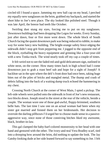circled till I found a space. Jamming my new ball cap on my head, I perched my equally-new sunglasses on the brim, grabbed my backpack, and started the short hike to Joe's new place. The sky looked like polished steel. Though it was late April, the breeze had teeth like October.

Swirling dust stung my eyes, forcing me to put on my sunglasses. Downtown buildings had been dropping like Legos for weeks. Every Sunday, just after dawn, four or five more went down. The whole block of South Church facing the quaint downtown park was being reduced to rubble, to make way for some fancy new building. The bright-orange safety fence edging the sidewalk didn't stop grit from peppering me. I jogged to the opposite end of the block, eyeballing the heavy equipment and grinning like a four-year-old with a new Tonka truck. The wind nearly took off my cap a couple of times.

It felt weird not to see the faded red-and-gold delicatessen sign, outlined in white neon, on the corner. How many times back in high school had I come downtown just to grab a roast beef sub and hope for a sight of Joseph? A backhoe sat in the spot where the deli's front door had once been, taking huge bites out of the piles of bricks and mangled metal. The thump and crash of debris falling into the back of a waiting dump truck echoed the hammering in my chest.

Crossing North Church at the corner of West Main, I spied a pickup. The left-side wheels were pulled onto the sidewalk in front of Joe's new restaurant, two blocks down. Joseph stood in the street at the rear of the vehicle, beside a couple. The woman wore one of those god-awful, floppy-brimmed, southern belle hats. The last time I saw one on an actual woman had been when my sister got married and foisted them on her bridesmaids. Her decision to overrule the darling pillboxesI'd urged her to choose made sense in a passiveaggressive way, since none of those conniving bitches liked my awesome, black, brother-in-law.

This gal clamped the baby-barf-colored monstrosity to her head with one hand and gestured with the other. The ivory-and-teal Vera Bradley scarf, tied into a drooping bow around the brim, did nothing to update the look. The Jay Gatsby-looking dude at her side leaned forward to say something to Joe. I felt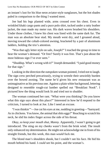an instant's lust for his blue neon aviator-style sunglasses, but the hot shades paled in comparison to the thing I wanted most.

Joe had his legs planted wide, arms crossed over his chest. Even in wrinkled khaki cargo pants and a puce polo shirt, tucked under a ratty leather jacket, the man made my meter run. His dark waves brushed his shoulders. Under those clothes, I knew his chest was lined with the same dark fur. The man was an absolute bear stud. My mouth went dry, and I groaned aloud, moving toward the cobalt-colored awning, bracketed by a pair of aluminum ladders, holding the trio's attention.

"Was that ugly letter style on sale, Joseph?" I reached the group in time to hear the woman's demand. "Or free? Surely it was free. That's just about the most hideous sign I've ever seen."

"Shuddup. What's wrong with it?" Joseph demanded. "I paid good money for that sign."

Looking in the direction the outspoken woman pointed, I tried not to laugh. The sign crew perched precariously, trying to wrestle their unwieldy burden over the bowed awning. The name he'd given his new restaurant was as unimaginative as his previous one. Against a plain white background, lettering designed to resemble rough-cut lumber spelled out "Breakfast Nook". I pictured how the thing would look lit and tried not to shudder.

The woman continued her rant. "What were you thinking? Do you know what this sign says about this place?" Interested in how he'd respond to the criticism, I turned to look at Joe. Like I need an excuse.

"I wasthinkin'"—Joe cut his eyes at me, nodding in greeting—"barnyard. As in chickens. You know, the animal that shits eggs?" Reaching to scratch his neck, he slid his index finger across the side of his throat.

*Okay, so keep your mouth shut, Manny.* Apparently, I wasn't going to get introduced. The sting on my cheeks wasn't from the brisk wind. The insult only enhanced my determination. He might not acknowledge me in front of his straight friends, but this week, this man *would* fuck me.

The blond man's shoulders shook, but I couldn't see his face. He hid his mouth behind his hand. I *could* see his point, and the woman's.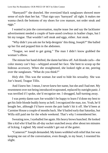"Barnyard?" she drawled. Her oversized black sunglasses showed more sense of style than her hat. "That sign says 'barnyard' all right. It makes me wanna check the bottoms of my shoes for cow manure, not order steak and eggs."

I wanted to join the conversation, maybe tease Joe and say the lackluster advertisement needed a couple of bare-assed cowboys in leather chaps, but I bit my tongue. That wouldn't sell steak and eggs, either. Just steak.

"Why didn't you ask me for help designin' this thing, Joseph?" She balled up her fist and popped him in the abdomen.

"Teague, we need to get going." The man I didn't know grabbed the woman's elbow.

The minute her hand shifted, the damn hat blew off. Ash blonde curls—the color money can't buy—whipped around her face. She bent to scoop up the hideous accessory. When she straightened, she looked right at me, peering over the sunglasses. "What do you think?"

*Holy shit.* This was the woman Joe used to hide his sexuality. She was Joe's beard, Teague Tillis.

And I knew her. I mean, I never knew her name, butshe and I had met. My resentment over not being introduced evaporated, replaced by outright panic. I was terrified if I spoke, she'd recognize me. I shrugged, half-turning away.

I was pretty damn sure Joe wouldn't be happy to learn I'd done my best to get hislittle blonde buddy horny as hell. I recognized the man, too. Yeah, he'd bought her, although I'd have sworn the pair hadn't hit it off. She'd been at Carmine House a couple of months back. She'd bailed early that Saturday, but Willa still paid me for the whole weekend. That's why I remembered her.

Sweating now, I eyeballed Joe again. His heavy brows bunched. He looked like a kid who'd had his all-day sucker snatched away after about ten minutes of licking. I sighed. My mind wouldn't get out of the gutter.

"Cameron?" Joseph demanded. My knees wobbled with relief that Joe was keeping me out of the conversation, even though, in my heart, I resented his slight.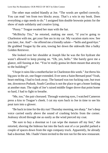The other man smiled blandly at Joe. "The words are spelled correctly. You can read 'em from two blocks away. That's a win in my book. Does everything a sign needs to do." I assigned him double brownie points for the show of male solidarity and creative lying.

"Pussy." Teague swatted her man with the hat.

"McBitchy Tits," he retorted, making me snort, "if you're going to Charleston with me, get your fine ass in my car. My vacation starts *now*. See you later, Joe. And"—he offered me a friendly salute—"hello and good-bye." He grabbed Teague by the arm, towing her down the sidewalk like a balky Golden Retriever.

She looked over her shoulder at Joseph like he was the fire hydrant she wasn't allowed to keep pissing on. "Oh, yes, hello." She barely gave me a glance, still fussing at Joe. "You're really gonna let them mount that atrocity to the building?"

"I hope it rains like a motherfucker in Charleston this week." Joe threw his big paw in the air, one finger extended. Ever seen a Saint Bernard pout? Yeah, heart-melting. I had to look away. The bastard was too fucking cute, but trust me, downtown Podunk, South Carolina is not the place to get a boner looking at another man. The sight of Joe's raised middle finger drove that point home so hard, I had to fight to breathe.

"Me, too," the pair chorused. Through watering eyes, I watched Cameron press a kiss to Teague's cheek. I cut my eyes back to Joe in time to see his pout turn into a glower.

"Be back in time for the dry run! Thursday morning, ten sharp." Joe's deep voice carried easily above the sound of crashing bricks from the corner. Jealousy sliced through me as easily as the wind pierced my coat.

"Be sure to buy a doormat so I can wipe the manure off my feet," she retorted, shoving the hideous hat into the back seat of a car parallel parked a couple of spaces down from the sign company truck. Apparently, he already had a doormat. Me. I hadn't been invited to the test run for the new restaurant.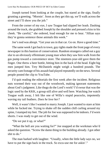Joseph turned from looking at the couple, but stared at the sign, finally grunting a greeting. "Mornin'. Soon as they get this up, we'll walk across the street and I'll show you the job."

From the corner of my eye, I saw Teague had slipped her leash. Dashing around the truck, she grabbed Joseph by the shoulder and pressed a kiss to his cheek. "Be careful," she ordered, loud enough for me to hear. "Jillian says they're gonna sentence those animals this week."

Joe's nod was abrupt. "Get your ass in that car. Go on. Have a good time."

The same week I got back to town, gay rights made the front page of every newspaper in this bastion of conservatism. Random strangers called out a gay slur to an obviously effeminate young man when they saw him walk from the gas pump toward a convenience store. The nineteen-year-old gave them the finger. One threw a beer bottle, hitting him in the back of the head. Eight big men jumped him. Trey McDaniels might weigh a hundred pounds. The security cam footage of his assault had played repeatedly on the news. Several people posted the clip to YouTube.

I'd quit reading the editorials the first week after the incident. Religious nuts wormed their way out of the woodwork, making ignorant statements about God's judgment. Like thugs do the Lord's work? I'd swear that was the logic used by the KKK, a group still alive and well here. Watching Joe watch Teague walk away, I felt like one of Willa's stupid peacocks, impotently waving my tail feathers. *Does he love her?*

Well, it wasn't like I wanted to marry Joseph. I just wanted to stare at him while he fucked me. Trying to shake off the sudden chill curling around my spine, I stamped my feet. The job for Joe was supposed to be indoors. I'd worn shorts. I was ready to get out of the wind.

"Do we put it up, or what?"

"What the hell are you waiting for?" Joe snapped at the workman who'd asked the question. "Screw the damn thing to the building already. I got other shit to do."

The man barked with laughter. "Usually, when the little lady says no, we have to put the sign back in the truck. So excu-use me for askin'."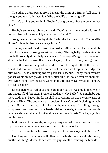The other worker peered from beneath the brim of a Braves ball cap. "I thought you was datin' her, Joe. Who the hell's that other guy?"

"I ain't paying you to think, Bobby," Joe growled. "Put the bolts in that sign."

Bobby's smile was tobacco-stained. "Don't growl at me, motherfucker. I got problems of my own. My mama's out of work."

Joe glowered at the Bobby dude. "Who the hell gets laid off at Waffle House? I thought they were always hiring."

The guy yanked his drill from the leather utility belt hooked around his faded Levi's, nearly losing his grip on the sign. The big belly overhanging his tool belt probably didn't help his balance. "She says it's age discrimination. What the fuck do I know? If you hear of a job, call me. I'd owe you, big-time."

The other worker laughed so hard, I feared he might fall off the ladder. "Yeah, I'd owe you, too. She poured out the beer we keep in the fridge for after work. A whole fucking twelve-pack. But cheer up, Bobby. Your mama's got her whole church prayin' about it, after all." He looked over his shoulder, eyes wide. "They say the Lord works in mysterious ways. What do I know? I'm just a sinner."

Like a picture carved on a single grain of rice, this was my hometown in one image. If I'd forgotten, I remembered now why I'd left. Joe might be due more credit than I gave him for his skill in navigating the treacherous waters of Redneck River. The duo obviously decided I wasn't worth including in their banter. For a man to wear pink here is the equivalent of strolling through vampire territory wearing garlic beads. Makes the straight boys uncomfortable when we show no shame. I smiled down at my new fuchsia Chucks, wiggling numbed toes.

In this neck of the woods, as they say, any man who complimented me on my shoes was communicating more than his taste in kicks.

"I do need a waitress. Is it worth the price of that sign to you, if I hire her?"

I kept my gaze on the sidewalk. How Joe ran his business was his business, but the last thing I'd want to see was this guy's mother handing me breakfast.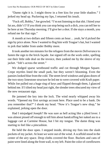"Damn right it is. I might throw in a free kiss for your little shadow." I jerked my head up. Puckering my lips, I returned his insult.

"Fuck off, Bobby," Joe growled. "I'mnot listening to thatshit. I hired your fat ass, didn't I? If you think you can stop being such a dick, you can tell her to be here at ten Thursday morning. I'll give her a shot. If she stays a month, you refund me for that sign."

A month at two dollars and fifteen cents an hour… yeah, he'd picked the sign by price alone. Now I wanted to flog him with Teague's hat, but I wanted to jerk that ladder from under Bobby more.

It took another ten minutes for the refugees from the movie *Deliverance* to fasten the sign to the brick façade. Joe signed off on the work order, spelling out their little side deal on the invoice, then yanked me by the sleeve of my jacket. "Job's across the street."

We dodged sparse westbound traffic and cut through Morgan Square. Crepe myrtles lined the small park, but they weren't blooming. Even the pansies looked blue from the cold. The street-level windows and glass doors of the two-story limestone structure he led me to were covered with Kraft paper. While Joe pulled out a huge ring of keys and flipped through them, I glanced behind me. If I tilted my head just right, the slender trees obscured my view of the new restaurant sign.

He jammed the key into the lock. The wind nearly whipped away his words. "Opened my first savings account here. Place used to be a bank. Do you remember that?" I shook my head. "Now it's Teague's new shop," he explained, jerking open the door.

Had I misjudged Joseph? He was sure as hell acting like a jilted lover. I was almost pissed off enough to tell him about handcuffing her naked ass to a luggage cart at Carmine House, but I bit my tongue. The damn thing was starting to feel like a pincushion.

He held the door open. I stepped inside, driving my fists into the slash pockets of my jacket. At least we were out of the wind. A scaffold stood in the center of the airy space. Drop cloths covered the floor. Buckets and cans of paint were lined along the front wall, to my left. Paint the color of cornflowers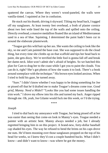spattered the canvas. Where they weren't wood-paneled, the walls were vanilla-tinted. I squinted at Joe in confusion.

He stuck out histhumb, driving itskyward. Tilting my head back, I tugged off my sunglasses. At least twenty feet overhead, a froth of plaster cornice about two feet wide lined the top of the walls and spilled onto the ceiling. Directly overhead, a massive medallion floated like an island of Mediterranean sand in a sea of blue. Squinting, I determined the paint hadn't been cut in around the elaborate plasterwork.

"Teague got this wild hair up her ass. She wants the ceiling to look like the sky, so me and Cam painted the base coat. She was supposed to do the cloud thing, but every time she climbs up on that scaffold and tips her head back to paint, she gets dizzy. We're terrified the little fool is gonna fall off and break her damn neck. Idiot won't admit she's afraid of heights. So we hatched this plan for Cam to drag her to the coast while I got you to paint the clouds. You can do it, right? She's got photos of how she wants it to look. There's a book around someplace with the technique." His brown eyeslooked anxious. When I tried to hold his gaze, he turned away.

"Sure." I didn't know whether I was happy to be doing something for Joe or pissed off that he'd drafted me to make Teague's dreams come true. *Good grief, Manny. Need a Midol?* "Looks like you had some issues handling the trim work." I drove my elbow into his ribs and turned my back. Anger ripped through me. Oh, yeah, Joe Gilante would fuck me this week, or I'd die trying.

\*\*\*\*

#### *Joseph*

I tried to dial back my annoyance with Teague, but being pissed off at her was easier than seeing that come-on look in Manny's eyes. Teague needed a painter with an artistic bent. Manny always needed a job, but I already regretted bringing him in on this project. A brand-new, forty-dollar baseball cap shaded his eyes. The way he refused to bend the brims on his caps drove me nuts. He'd been mooning over those sunglasses propped on the top of his head for weeks, so I knew they'd cost a couple hundred bucks. What I didn't know—and didn't want to know—was where he got the money.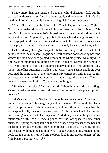I knew more than one lonely old gay man who'd cheerfully fork out the cash to buy those goodies for a hot young stud, and goddammit, I didn't like the thought of Manny on his knees, sucking dick for designer duds.

What I liked less was the idiot's pink Chuck Taylors and cutoff T-shirt. Not to mention the bright pink rings lining the oversized holes in his ears. This wasn't Chicago, or wherever he'd limped back to town from this time, out of work and hurting. Apparently, if you fall offstage while dancing back-up for a famous pop diva, she sends flowers and a card with lipstick prints, not a check for the physical therapist. Manny seemed to see only the card, not the injustice.

He turned away, taking off his jacket before kneeling beside the buckets of paint. I tried to recall where Teague had left that damn book showing how she wanted the fucking clouds painted. I thought the whole project was stupid—a time-wasting hindrance to getting her shop reopened. Maybe one person in fifty would bother to look up. I doubted a fancy indoorsky was gonna pull any money out of her customer's wallets, but I wasn't sure Teague and logic ever occupied the same room at the same time. My conviction only increased my certainty her new boyfriend wouldn't be able to go the distance. Cam's a lawyer. Lawyers are logical. Teague was anything but.

"So, what is this place?" Manny asked. "I thought your little camouflage kitten owned a jewelry store. It'd cost a fortune to fill this place up with jewelry."

"She's a sculptor, too. Got her big pieces farmed out all over. Now she can put 'em in her shop." I had to grit my teeth at the taunt. There might be places where people were cool about being gay, but to me, those were kinda like the stories people tell you about their vacation to Aruba. You listen, but know you ain't never gonna see that place in person. And Manny knew nothing about my relationship with Teague. "She's gonna rent the loft space to some other business." Spying the magazine on top of a draped display case at the back of the room, I strode across the large lobby to get it. No sense in getting started unless Manny thought he could do what Teague wanted done. Snatching the book off the counter, I turned and stopped dead in my tracks. *When did the little bastard get that new ink?*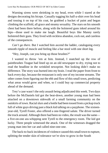Warning sirens were shrieking in my head, even while I stared at the designs decorating his biceps. Casually tugging his half-a-shirt over his head and tossing it on top of his coat, he grabbed a bucket of paint and began climbing the scaffold, all grace and steamy sexuality. The stars on his smooth chest had been there before, along with the holstered guns inked around his hips—those used to make me laugh. Beautiful boys like Manny rarely holstered their guns. They lived with reckless abandon, cock out, and careless of the consequences.

*Can't go there.* But I watched him ascend the ladder, cataloguing every smooth ripple of muscle and feeling like a bar stool with one short leg.

"Hey, Joseph, can you bring up those brushes?"

I wanted to throw 'em at him. Instead, I snatched up the row of paintbrushes Teague had lined up on an old newspaper to dry, trying not to read the headline in the wrinkled newsprint. Not looking didn't make no difference. The story was burned into my brain. I read the paper from front to back every day, because the restaurant is only one of my income streams. The other comes from figuring out the ebb and flow of this small town, predicting what areas would grow and when, so I could buy up commercial property ahead of the demand.

Trey's case wasn't the only assault being adjudicated this week. Two days before the McDaniels kid got the beat-down, another young man had been attacked on a downtown sidewalk of a small farming community on the outskirts of town. Racial slurs and a bottle had been tossed from a pickup truck full of white guys driving past a black kid talking on a payphone. The sixteenyear-old, Tyrell Foster, also offered a one-fingered salute. The driver turned the truck around. Although there had been no video, the result was the same a five-on-one ass-whipping sent Tyrell to the emergency room. The kid got lucky. Three people witnessed the attack. One of the witnesses dragged the young man into her car and called nine-one-one.

The back-to-back incidences of violence caused this small town to rupture, splitting the tender skin of tolerance we're slow to grow in the South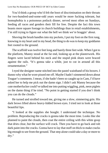You'd think a group who'd felt the boot of discrimination on their throats for two-hundred-and-some-odd years would be more fucking tolerant, but homophobia is a poisonous potluck dinner, served most often on Sundays, feeding all races and genders their fill for free. Despite the fact this town boasts more square footage in church buildings than in retail establishments, I'm still trying to figure out what the hell we think we're braggin' about.

Shoving the brush handles into my pockets, I put my foot on the first rung, knowing in my heart and in my head, the thing to do wasto keep my goddamn feet rooted to the ground.

The scaffold was twelve feet long and barely three feet wide. When I got to the platform, Manny stood at the far end, looking up at the plasterwork. His fingers were laced behind his neck and the stupid pink shoes were braced against the rails. "It's gonna take a while, just to cut in around all this ornamentation."

I eyed the designer name stitched into the pastel waistband of his boxers. I dunno why what he wore pissed me off. Maybe I hadn't simmered down about Teague's comments. I mean, if she hadn't been so caught up in Cam, I'd have asked her to help me pick out the damn sign. I didn't ask Manny because the cute motherfucker could've talked me into putting wiggling, pink, neon piglets on the damn thing if he tried. "No point in getting started if you don't think you can do the clouds."

He turned and strolled toward me, giving me a slow, simmering grin. His dark brows lifted above heavy-lidded brown eyes. I tried not to look at those beautiful lips.

"I looked at the supplies she bought. I understand the technique. No problem. Reproducing the cracks is gonna take the most time. Looks like she planned to paint the clouds, then coat the entire ceiling with this white goop that dries clear, but the surface will crack. Then you have to go back and rub dark paint into the cracks. Gonna have to lay that stuff on thick to make cracks big enough to see from the ground. That step alone could take a day or more to dry."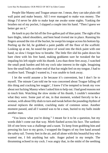People like Manny and Teague amaze me. I mean, they can take plain old wall paint and make beauty. All I ever managed to make was money. The things I'd never be able to make kept me awake some nights. Yanking the brushes out of my pocket, I slapped a couple into his hand. "Then I guess we better get on it."

He knelt to pry the lid off the five-gallon pail of blue paint. The sight of his bare thighs, inked shoulders, and bent head riveted me in place. Running his fingers around the rim of the bucket, he swept histongue across his bottomlip. Peeling up the lid, he grabbed a paint paddle off the floor of the scaffold. Looking up at me, he eased the piece of wood into the thick paint with one hand, so slow I forgot how to breathe. The little flirt slid his palm down his bare chest with his free hand, making goddamn sure he tweaked the bar impaling his left nipple with his thumb. Less than three feet away, I watched the small peak harden and felt my cock take interest in the sight. Imagining how the small balls on either end of that bar might feel on my tongue, I had to swallow hard. Though I wanted to, I was unable to look away.

I let the world assume a lie because it's convenient, but I don't lie to myself. The minute Cam told me he was concerned about Teague falling off this thing and cracking her noggin', I knew I'd be tempted to break my vow about not fucking Manny when I asked him to help out. I had good reasons not to touch him. Watching the slow stroke of his thumb, I couldn't remember what they were. Some part of me, in that moment, wished fiercely to be a woman, with about fifty dials to turn and tweak before the pounding rhythm of arousal replaces the strident, crackling static of common sense. Another moment passed, and all I wanted was to be a man, buried to my balls inside another man.

"You know what you're doing." I meant for it to be a question, but my words didn't come out that way. Mirth flashed across his face. The sardonic lift of one brow was a challenge and a taunt. To keep from grabbing him and pressing his face to my groin, I wrapped the fingers of my free hand around the safety rail. Twenty feet in the air, and all alone with this beautiful boy who wanted me, I felt anything but safe. Anger pulsed in my temple. The thrumming echoed in my cock. I was angry that, in the midst of the seething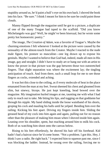stupidity around us, he'd paint a bull's-eye on his own back. Ishoved the book into his face. "Be sure." I think I meant for him to be sure he could paint those clouds.

Manny flipped through the magazine until he got to a picture, a duplicate of one of the many Teague had taped to the scaffold. "Did you know Michelangelo was gay? Well, he might've been bisexual, but he wrote some pretty hot homoerotic poetry."

The image, *The Creation of Adam*, was a favorite of Teague's. Maybe the churning emotions I felt whenever I looked at the picture were caused by the sensuality of the almost-touch from the Creator. Maybe I reacted to the nude male figure, his posture so masculine—one leg drawn up to expose his genitals. Maybe I wanted to believe that God had, indeed, made all men in His image, gay and straight. I didn't have to study art or hang out with an artist to know the power in that picture was the gap between those two outstretched fingers. That slight separation was where the excitement lay; the tingling anticipation of touch. And from there, such a small leap for me to see those fingers as cocks, extended and aching.

It was hot this close to the ceiling, as if every molecule of heat in the place emanated from the man at my feet. Sweatsheened his chest and gleamed from slim, but sinewy, biceps. He just kept kneeling, head bowed over the magazine. My imagination hurled images at me, taunting me with what I had only to reach out to take. Me biting his lips, and tugging on that goddamn bar through his nipple. My hand sliding inside the loose waistband of his shorts, groping his cock and mauling his balls until he yelped. Bending him over the railing. Kicking his feet apart. Driving my fingers inside him. Sliding the greased head of my cock into him again and again, pulling out for no reason other than the pleasure of making him moan when I shoved inside him again. Leaning over his shoulder, spent, but reaching around him to milk his cock. Both of us watching him shoot onto the canvas below.

Rising to his feet effortlessly, he shoved his hair off his forehead. Kid hadn't had a haircut since he'd come home. "Not a problem. I got this. Hey, I think I saw a radio. Be right back." I expected him to squeeze past me, since I was blocking the ladder. Instead, he swung over the railing, forcing me to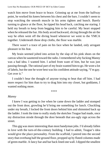watch him move from brace to brace. Grinning up at me from the halfway point, he worked his knees between his chest and the bars. I couldn't seem to stop watching the smooth muscle in his arms tighten and bunch. Barely turning to glance at the floor, he tipped his head back, catching me staring. I held my breath to keep from begging him to be careful. My heart stopped when he released the bar. His body arced backward, slicing through the air the way he often went off the diving board whenever we went to the YMCA together. Underneath those drop cloths, the floor was marble.

There wasn't a trace of pain on his face when he landed, only arrogant pleasure in his feat.

My brain seemed jolted into action by the slap of his pink shoes on the canvas when he sauntered toward the radio. I remembered why fucking Manny was a bad idea. I wanted him. I ached from want of him, but he was just passing through. The rational part of my brain wanted himto go. He wore a lot of labels, but the one he wore best was his confident attitude saying, "I'm gay. Get over it."

I couldn't bear the thought of anyone trying to beat that off him. I had more respect for him than to try to drag him into my closet, but goddamn, I wanted nothing more.

\*\*\*\*

#### *Manny*

I knew I was getting to Joe when he came down the ladder and stomped out the front door, growling he'd bring me something for lunch. Chuckling under my breath, I locked the front doors behind him and shimmied back up the ladder. I took the time to really study the sketches Teague had made, once my distraction strode through the door beneath that ass-ugly sign across the street.

This gig was more interesting than most handyman jobs. I'd already fallen in love with the turn-of-the-century building. I had to admit, Teague's idea would give the place personality. From the scaffold, I peered into the second story that overhung half the ground floor, propped up by fluted columns made of green marble. A fancy bar and bar back lined one wall. I dipped the smallest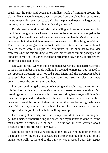brush into the paint and began the mindless work of trimming around the plaster. Her sky would extend over the second floor area. Hauling sculpture up the staircase didn't seem practical. Maybe she planned to put the larger works on the ground floor and display her jewelry upstairs?

I'd trimmed around two-thirds of the ceiling and was on the east wall by lunchtime. Long windows looked down onto the street running alongside the building. The small lane had a name that made me laugh. Maybe there had been once, but I doubted there was one flowering tree left on Magnolia Street. There was a surprising amount of foot traffic, but after a second's reflection, I recalled there were a couple of restaurants in the shoulder-to-shoulder storefronts behind this building. A massive, newer office building occupied the opposite corner, so I assumed the people streaming down the side street were employees, headed to eat.

Only, asthe hour wore on and I completed everything I needed the scaffold to reach, the number of people walking by seemed to increase. Few headed in the opposite direction, back toward South Main and the downtown jobs I supposed they had. One satellite van—the kind used by television news crews—turned the corner, then another.

I debated beginning the process of swiping white paint onto the ceiling and rubbing it off with a rag, or checking out what the excitement was about. My growling stomach made me wonder if Joe was hiding from me, or off fattening the cows he planned to slaughter for lunch. Excitement won when the third news van turned the corner. I stared at the familiar Fox News logo whizzing past. All the major news outlets hadn't come to a sandwich shop or an overpriced sushi joint for lunch. Something was up.

I was dying of curiosity, but I had no key. I couldn't lock the building and get back inside without tracking Joe down, and my instincts told me to let the man simmer a while. He'd be back. He was too all-fired worried about Teague's precious project to stay away.

On the far side of the stairs leading to the loft, a swinging door opened at the touch of my fingertips. I squeezed past display counters lined end-to-end against one wall. At the end of the hallway was a second door. My abrupt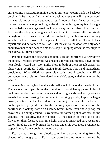entrance into a spacious, feminine, though still-empty room, made me back out quickly. In frustration, I slammed my back against the wall in the crowded hallway, glaring at the glass-topped cases. A moment later, I was sprawled on my ass on a small stoop, looking at the sky. Scrambling to my feet, I caught the door before it swung closed. Inching my way hurriedly back down the hall, I crossed the lobby, grabbing a small can of paint. If Teague felt comfortable enough to leave town with the side door unlocked, that had to mean nothing valuable had been moved into the place, I reasoned. Still, I didn't want to lock myself out and be forced to call Joe. I set the can so the door was only open about two inches and backed onto the stoop. Galloping down the few steps to the sidewalk, I turned north.

People crowded the sidewalks on both sides of the street. Halfway down the block, I realized everyone was heading for the courthouse, down on the next block. "Heard they took guilty pleas in both of them assault cases," an older woman confided. 'God isjudging South Carolina', her hand-lettered sign proclaimed. Wind rifled her steel-blue curls, and I caught a whiff of permanent-wave solution. I wondered where He'd start, with the sinners or the saints?

A swelling throng blocked the wide walkway in front of the squat building. There was a line of people out the front door. Through heavy panes of glass, I could see the electronic security gates and moving wands wielded by security guards that were causing the bottleneck. Dodging people, I spied a larger crowd, clustered at the far end of the building. The satellite trucks were double-parked perpendicular to the parking spaces on that end of the courthouse, blocking traffic on Library Street. More than one city cop car drove past. Looking around, I saw several uniformed police officers on the grounds—not security, but city police. All had hands on their sticks and frowns on their faces. A man in a light-charcoal pinstriped suit, wearing a lemon-tinted tie that only made the circles under his eyes more pronounced, stepped away from a podium, ringed by cops.

Fear darted through my bloodstream, like tadpoles running from the shadow of a hungry bass. Dark faces were bunched together around the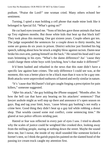podium. "Praise the Lord!" one woman cried. Many others echoed her sentiment.

Turning, I spied a man holding a cell phone that made mine look like it belonged in Special Ed. "What's going on?"

He cut hard eyes toward me. "Sons of bitches gave those animals that beat up Trey eighteen months. But those white kids that beat up that black kid? They took pleas this morning. One got sixteen years. Couple others got ten. The judge suspended the sentences for a couple down to thirty months, but some are gonna do six years in prison. District solicitor just finished his big speech, talking about how he struck a mighty blow against racism. Damn near broke his own arm, patting himself on the back." He raised his head and I saw tears brimming in his eyes. "What's the damn difference? Jus' 'cause they could charge them white boys with lynching, how's that make it different?"

It'd been hashed and rehashed in the news that this state didn't have a specific law against hate crimes. The only difference I could see was, at the moment, this was a better place to be a black man than it was to be a gay one. Both attacks were unprovoked outbursts of hatred and eerily similar in nature.

"It's 'cause that McDaniel's kid got caught forging a prescription for pain killers," someone suggested.

"*After* his attack," the guy holding the iPhone snapped. "Months after. So how the hell can that have any bearing on his attackers' sentences? That lawyer asshole might as well step up there and announce it's open season on gays. Bag and tag your limit, boys, 'cause felony gay bashing's not really a crime here. Good thing they didn't beat up a gay kid while robbing a donut shop. That woulda caused some real conflict, come sentencing time." He glared at two police officers striding past.

Hatred or fear was reflected in every pair of eyes I saw. I tried to absorb why the scales of justice could be weighted like crooked dice, looking away from the milling people, staring at nothing down the street. Maybe the sound drew me, but I swear, the inside of my skull sounded like someone kicked a hornet's nest, so I think the garish popsicles painted on the slanted hood of the passing ice cream truck caught my attention first.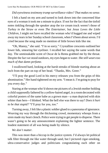#### *Did eyewitness testimony trump surveillance video? That makes no sense*.

I felt a hand on my arm and turned to look down into the concerned blue eyes of a woman it took me a minute to place. If not for the fact that the tinfoil notes tinkling through the speaker atop the ice cream truck weren't those of *Turkey in the Straw* or even *The Entertainer*, but *Jesus Loves the Little Children,* I might not have recalled the woman who'd hugged me and wiped away my tears in her Sunday school classroom, when I'd been about seven. I'd cried because the song made no mention of little brown kids like me.

"Oh, Manny," she said. "I'm so sorry." Crystalline crescents outlined her lower lids, smearing her eyeliner. I recalled her saying the same words that day. The unmistakable scent of Oscar de la Renta grabbed me by the throat. Despite the fact we stood outdoors, my eyes began to water. *She still wearstoo much of that damn perfume.*

I swallowed hard, looking at the harsh streaks of blonde starting about an inch from the part on top of her head. "Thanks, Mrs. Greer."

"I'll pray the good Lord in his mercy releases you from the grips of this abomination." Her hand tightened on my arm. "I mean it. I'mgoing to pray for you every day."

Staring at the woman who'd shown me pictures of a Jewish mother holding a child supposedly fathered by a yellow-haired angel, in a roomdecorated with colorful posters of the same babe as a grown man—a man depicted with skin whiter than hers—I blinked. What the hell else was there to say? *Does it hurt to be that stupid?* "I'll pray for you, too."

Turning away, I felt like a plastic soldier glued to a panorama of ignorance. Weaving my way through the thickening crowd, momentary whoops from a siren made my heart clench. Police were trying to get people to disperse. There wasn't going to be any announcement explaining the lighter sentence. The loudest statement of all was being made by silence.

## *We don't matter.*

This was more than a hiccup in the justice system. I'd always let political talk filter through me like water through sand, but I pictured cigar-smoking, ultra-conservative judges and politicians congratulating each other on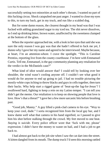successfully setting two minorities at each other's throats. I wanted no part of thisfucking circus. Shock catapulted me past anger. I wanted to close my eyes to this, to turn my back, get in my truck, and run like a scalded dog.

But for some damn reason, the clearest thought in my head was that I was fucked with adding granulated sugar to my iced tea. The shit never dissolves, so I end up drinking bitter, brown water, unaffected by the sweetness clumped at the bottom of the glass.

When the reporter approached me, with a look in her eyes that said she was sure the only reason I was gay was that she hadn't offered to fuck me yet, I dunno why I gave her my name and agreed to be interviewed. Maybe because, at heart, I'm an attention-whore. I crave the spotlight. "This is Caroline Prentiss, reporting live from the county courthouse. I'm here with Emmanuel Curtis. Tell me, Emmanuel, isthe gay community planning any retaliation for the verdict in the McDaniels case?"

What kind of idiot would answer that? I could tell by looking over her shoulder, the wind wasn't cooling anyone off. I couldn't see what good it would do for anyone to end up going to jail. I had no trouble picturing the mostly-white cops itching to throw blacks and gays in cells together, then turn their backs. Why help start a rigged game of 'beat-up-the fag-for-Jesus'? I swallowed hard, fighting to keep a rein on my Latino temper. "I can tell you didn't get the memo. Our retaliation is to keep on showing people that love is love. How's that a threat?" I gave her a few more sarcastic bits before brushing past.

"Good job, Manny." A guy lifted a pink-clad camera to his eye. "Way to keep your cool, dude." I sorta recognized him from the local gay bar, and I knew damn well what that camera in his hand signified, so I paused to give him his shot before stalking through the crowd. My feet moved to one beat. *Staying is suicide.* Every police officer wore that 'fuck with me, please' expression. I didn't have the money to waste on bail, and I had a job to get back to.

I had almost got back to the job site when I saw the cat dart into the street. A kitten dangled from its mouth. The dump truck I'd seen this morning rattled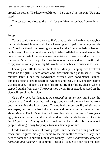around the corner. The driver would stop… he'd stop. *Stop, dammit.* "Fucking stop!"

The cat was too close to the truck for the driver to see her. I broke into a run.

\*\*\*\*

#### *Joseph*

Teague could kiss my hairy ass. She'd tried to talk me into buying new, but the reupholstered booths and chairs looked great. I paid the young couple who'd redone the old deli seating, and relocked the front door behind her and her husband. The restaurant was nearly finished. All that remained was for the crew to come install the wide-screen televisions. Those were due to arrive tomorrow. Since I no longer had a waitressto interview and hire from the pile of applications on my desk, my life would soon be back to business as usual.

Leaving me little to do but think about Manny. Slapping two breakfast steaks on the grill, I sliced onions and threw them in a pan to sauté. A few minutes later, I had the sandwiches dressed with condiments, lettuce, tomatoes, fresh-sliced mozzarella, wrapped and ready to go. The day hadn't warmed much. It'd been a damn cold spring. Frigid air bit my cheeks when I stepped out the front door. The pawn shop owner from next door stood on the sidewalk, smoking his pipe.

*Of all the times for Teague to be wrapped up in her own life.* I gave the older man a friendly nod, heaved a sigh, and shoved the key into the front door, wrenching the lock closed. Teague had the personality of sixty-grit sandpaper, but I rely on her bullshit meter and brutal honesty. I was worried about Manny. The kid's mother had been dead about five years. Two years ago, his sister married a soldier, and she'd moved around a lot since. Once his Aunt Myrtle died, Manny looked… lost, to me. He tends to be naive about people. Making it easy for people to take advantage of him.

I didn't want to be one of those people. Sure, he keeps drifting back into town, but I figured mostly he came to see his mother's sister. If any man needed someone to nurture him, it was Manny. *There's a difference between nurturing and fucking.* Goddammit, I needed Teague to bitch-slap me back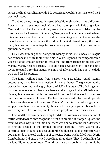acrossthe line I was flirting with. My best friend wouldn't hesitate to tell me I was fucking up.

Troubled by my thoughts, I crossed West Main, shivering in my old jacket. I was anxious to see how much Manny had accomplished. This bright idea Cam and I had hatched would only work if the project was finished by the time they got back to town. Otherwise, Teague would micromanage the damn thing and waste another month. She didn't seem to grasp that the longer she fucked around with perfecting the old bank behind closed doors, the more likely her customers were to patronize another jeweler. Even loyal customers put their needs first.

Like I was thinking about doing with Manny. I was lonely, because Teague had someone in her life for the first time in years. My need for companionship wasn't a good enough reason to cross the line from friendship to sex with Manny. Manny needed a friend. He could bat his eyelashes any time and get a lover. So could I, for that matter. Manny probably already had one. The dude who paid for his pretties.

The faint, wailing bursts from a siren was a troubling sound, mainly because they came from the direction of the courthouse. The gay community was restless, worried, and angry about the McDaniels attack. The fucking town had the same tension as that space between the fingers in that Michelangelo picture, but whatever might be created from the friction would have farreaching consequences, I feared. The last thing we need is for straight people to have another reason to shun us. This ain't the big city, where gays can simply form their own community. In a small town, you gotta rub shoulders with everyone, like it or not, and I own two people-oriented businesses.

I crossed the narrow park with my head down, lost in my worries. A line of traffic waited to turn onto Magnolia Street. On my side of Morgan Square, the street was two-way, but on this side, there was one westbound lane, designed to provide access to the limited on-street parking. There wasn't any construction on Magnolia to account for the holdup, so I took the time to walk down the side of the old bank, out of curiosity. Dump trucks filled with debris from buildings I'd once owned were lined three-deep. They'd be heading for the landfill, miles out of town. Their drivers were no doubt anxious to hit the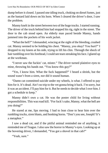dump before it closed. I passed one idling truck, choking on diesel fumes, just as the bastard laid down on his horn. When I cleared the driver's door, I saw the problem.

Manny knelt in the street between two of the huge trucks. I started running. The driver of the truck behind him had stopped his rig, right in the street. The door to the cab stood open. An elderly man paced beside Manny, hands jammed into the pockets of his work jacket.

"What the hell?" I demanded, wincing at the sight of the bleeding, crushed cat. Manny seemed to be holding his chest. "Manny, you okay? You hurt?" I dropped to my knees at his side, trying to lift his chin. Through the shock of hair tumbling over his forehead, I could see tears streaking his face. I glared up at the workman.

"I never saw the fuckin' cat, mister." The driver turned plaintive eyes to mine, throwing his hands out. "You know this guy?"

"Yes, I know him. What the fuck happened?" I heard a shriek, but the sound wasn't from a siren, nor did it sound human.

"Damn cat committed suicide under my wheels, is what. I offered to pay him for it. It's dead. Ain't no trip to the vet gonna bring it back. I'm sorry, but it was an accident. I'll pay him for it. But he needsto decide what I owe him. I got a schedule to keep."

Manny didn't own a cat. He was the poster child for living without responsibilities. This was road kill. "For fuck's sake, Manny, what the hell are you doing?"

He stared at me, lips moving. I had to lean close to hear him over the rumbling trucks, siren blasts, and honking horns. "Don't you see, Joseph? It's a metaphor."

I saw a dead cat, and if the pitiful animal reminded me of anything, it reminded me of Teague. I also saw the horror in Manny's eyes. Looking up at the hovering driver, I demanded, "You got a shovel in that cab?"

"Yeah, sure."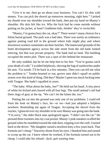"Give it to me, then go on about your business. You can't fix this with money. You can pick the shovel up tomorrow morning, right here." I jerked my thumb over my shoulder toward the bank, then put my hand on Manny's shoulder. His skin felt like ice. Why the fuck had he come outside without putting on his jacket, at least? *Goddamn kids, thinkin' they're invincible.*

"Manny, I'm gonna bury the cat, okay?" There weren't many choices for a feline burial ground. The park was a bad idea. There was surely an ordinance against putting road kill in the ground where kids might play and where downtown workers sometimes ate their lunches. The manicured grounds of the hotel development agency across the side street from the old bank looked enticing, but that was private property. The bank had no land. The building occupied the entire plot. There was a spot of dirt behind the restaurant.

He only nodded, but he let me help him to his feet. "You're gonna catch your death of cold," I scolded helplessly, shoving the bag of sandwiches under his arm. "Go inside. I'll be back in a few minutes. Then you can tell me what the problem is." Tender-hearted or not, grown men didn't squall on public streets over this kind of thing. Did they? Maybe I spent too much fucking time with Teague. She hadn't squalled in years.

"The baby. What about the baby, Joe?" He held out his hand. A tiny piece of white fur kicked and clawed with all four legs. The small animal's tail had three rings of gray at the tip. "We can't let the kitten die, too."

Putting the cat into the ground was only one of my problems. I could tell from the look on Manny's face, he—or we—had just adopted a helpless newborn. Reminding me again of Teague. Accepting the shovel from the trucker, I glanced over my shoulder to be sure Manny was going into the bank. "I'm sorry," the older black man apologized again. "I didn't see the cat." He pressed three twenties into my coat pocket. Manny's pink sneakers scuffed the ground when he stumbled toward the side door, tripping over the curb. I turned back to the driver. "My daughter raised a newborn kitty a few years back. That formula ain't cheap." Sincerity shone from his eyes. I thanked him and turned to scoop up the cat. I knew where he worked, if the formula turned out to be cheap. I could take his refund—*fuck, quit wasting time.*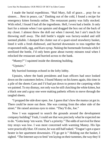I made the burial expeditious. "Hail Mary, full of grace… pray for us sinners… Rest in peace, cat." Dashing out of the cold, I found a recipe for emergency kitten formula online. The restaurant pantry was fully stocked. With relief, I found I had all the ingredients. Hell, I even had a bottle. It only hurt for a minute when I ran upstairs and dragged the box out of the back of my closet. I almost threw the doll out when I moved, but I ain't much for throwing stuff away. The doll bottle's nipple was factory-sealed and still seemed pliable. I dumped the clutter out of a quart-sized strawberry basket, lined it with a fresh dishtowel, and hurried downstairs to toss together the evaporated milk, egg, and Karo syrup. Nuking the homemade formula while I sterilized the bottle, I'd only been gone about twenty minutes total when I relocked the restaurant and hurried across to the bank.

"Manny?" I squinted inside the dimming building.

"Upstairs."

My hurried footsteps echoed in the lofty lobby.

Upstairs, where the bank presidents and loan officers had once looked down on the customers below, I found Manny on his knees again, this time in a pile of the sheets Cam and I'd had put down to protect the carpeting while we painted. To my dismay, not only was he still clutching the white kitten, but a black one and a gray one were making pathetic efforts to move through the tangled sheets.

"I propped the side door open.Joe. I guessthat's how the mama cat got in. There could be more out there. She was coming from the other side of the street." He raised anxious eyes to mine. "They'll die, Joe."

Now I was supposed to search the grounds around the development company building? Yeah, I could see that was precisely what he expected me to do. "Gotta keep 'em warm. That's a priority." The odds of survival for these tiny strays was low. I was more concerned with warming Manny. His lips were practically blue. Of course, he wasstill half naked. "Teague's got a space heater in her apartment downstairs. I'll go get it." Holding out the basket, I sighed. "The Internet says to feed 'em laying on their tummies, the way they'd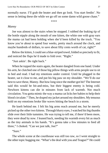normally nurse. I'll grab the heater and then go look. You start feedin'. No sense in letting these die while we go off on some damn wild goose chase."

\*\*\*\*

### *Manny*

Joe was almost to the stairs when he stopped. I rubbed the leaking tip of the bottle nipple along the mouth of one kitten, the white one with gray ears the mama cat had been holding when she'd been killed by the truck. "You know you're about to spend four weeks, pretty much around the clock, and maybe hundreds of dollars, to save about fifty cents worth of cat, right?"

Below the kitten, I could see a blue-striped towel, folded so precisely to fit, and noticed the flaps he'd made to fold over. "Right."

"Just askin'. Be right back."

When he topped the stairs again, the heater dangled from one hand. Under his arm, he clutched one of those big pillow things with arms people use to sit in bed and read. I had my emotions under control. Until he plugged in the heater, sat it close to me, and put his big paw on my shoulder. "We'll do our best to save these, Manny. But how long since the mother got hit? The Internet said this would be hit-and-miss, but their biggest enemy is being cold. Newborn kittens can die in minutes from lack of warmth. Not much circulation. You gotta mimic the way a mama cat licks her babiesto help their blood circulate." Then, he draped my jacket around my shoulders. My tenuous hold on my emotions broke like waves hitting the beach in a storm.

He knelt behind me. I felt his big arms reach around me, but he merely picked up the other two kittens. Through blurry eyes, I watched his big thumbs slide over their little tummies. He was trying to tell me, if there'd been more, they were dead by now. I leaned back, needing his warmth every bit as much as the tiny animals in his hands. "It's gonna take a few minutes to feed all three," I choked. "Can we just talk, Joe?"

"Sure."

The whole scene at the courthouse was still too raw, so I went straight to the other topic bugging me. "What's the deal with you and Teague?" He could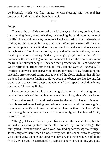be bisexual, which was fine, unless he was sleeping with her *and* her boyfriend. I didn't like that thought one bit.

\*\*\*\*

### *Joseph*

This was the part I'd secretly dreaded. I always said Manny could talk me into anything. Now, when he had my head reeling, he cut right to the heart of my life. How could I raise my defenses when he looked so damn defenseless? Sliding my chin through his hair, I hesitated. When you share stuff like this, you're swapping out a solid door for a screen door, and screen doors suck at being barriers. "You hear the stories, but you don't *know* how it was, because maybe you were too young. Sixteen years ago, people were afraid. AIDS dominated the news, but ignorance wasrampant. I mean, the community knew the truth, but straight people? They had their preachers tellin' 'em AIDS was God's retribution. Right from the pulpit, they said it." *Were still saying it.* I'd overheard conversations between ministers, for fuck's sake, begrudging the scientific effort toward curing AIDS. Men of the cloth, bitching that all that work and government funding could've been put to better use, like looking for ways to cure cancer. And people wonder why I don't spend much time in my restaurant. I know my limits.

I concentrated on the bit of squirming black in my hand, trying not to wonder how their soft fur might compare with stroking Manny's dark locks.

"I was nineteen. Had just signed a lease for the deli. Sank every dime into it and borrowed more. Letting people know I was gay would've been signing my new restaurant's death warrant. Wouldn't have mattered that I wasn't the one making the damn sandwiches. To this community, we all either had AIDS, or we were carriers."

"The guy I leased the deli space from owned the whole block, but he worked in his jewelry store, on the other corner. I got to know Jorge. His family fled Germany during World War Two, finding safe passage to Portugal. Jorge emigrated here when he was twenty-two. It'd sound crazy to anyone who didn't grow up here, but Jorge was Jewish, and that's why we got to be friends. When you're surrounded by Baptists, and you're not one, you gotta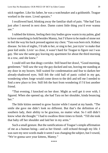stick together. Like his father, he was a watchmaker and a goldsmith. Teague worked in the store. Lived upstairs."

I swallowed hard, blinking away the familiar shaft of pain. "She had Tara just after I moved in next door. Damn cutest little thing you'd ever wanna see."

I rubbed the kittens, feeling their tiny bodies grow warm in my palms, glad to have something to hold besides Manny, but I'd have to be made of stone not to feel the way his back pressed against my chest. "Tara was born sick. Kidney disease. So lots of nights, I'd talk to her, orsing to her, just tryin' to make that poor kid smile. Livin' so close, it wasn't hard for Teague to figure out I was gay. She saw the same guy leaving my apartment for about the third morning in a row, and she knew."

I could still see that dingy corridor. Still heard her drawl, "Good morning, gentlemen." Still saw the way the guy ducked and ran, leaving me standing at my door in my boxers. Still waited for condemnation and fear to darken her already-shadowed eyes. Still felt the cold ball of panic coiled in my gut, wondering when Jorge would come down to the deli and tell me I needed to find a new place to live. Still felt the hurt from wondering if I'd lost another friend.

"That evening, I knocked on her door. Might as well get it over with, I figured. When she opened up, she had Tara on her shoulder, kinda bouncing her."

The little kitties seemed to grow fuzzier while I stared at my hands. "The smile she gave me didn't look no different. But that's the definition of a southern lady, their ability to be gracious, no matter what. So I still didn't know what she thought." I had to swallow three times to finish. "Till she took that baby off her shoulder and laid her in my arms."

Such a small gesture. But the ramifications of Teague's simple affirmation of me as a human being—and as her friend—still echoed through my life. I was sure my next words made it seem I was changing the subject, but I vowed, "We're gonna save your kittens, Manny."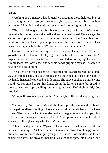## *Manny*

Watching Joe's massive hands gently massaging those helpless bits of black and gray fur, I absorbed the story, trying to use it to beat back my hurt and anger. I felt his breath slide across my neck, collaring me with warmth.

"The truck driver gave me sixty bucksto help buy the formula. We can run out to that big pet store near the mall and get what we'll need. Once we get the kitties fixed up, then we'll work together on the ceiling, okay? I can fetch and hand you stuff, and we'll just stop whenever they need lookin' after. That basket's not gonna hold three. We gotta find something better."

His voice rumbled through my body like the purr of a tiger. I didn't want to go to the petstore. I wanted to stay right here, behind locked doors, with Joe's huge arms around me. I wanted to be held. I wanted to stop crying. I wanted to rub my tears into Joe's chest and feel his hands gripping my ass. I wanted to be alone so I could think.

The kitten I was feeding snorted a noseful of milk and sneezed. Joe slid the gray cat into his hand, beside the black one. He swiped the nose of the babe in my hand, then gently pinched its little sides. The baby coughed up more white liquid. He continued to run his finger along the kitten's spine, but it didn't seem to want to stop squalling long enough to eat. "Definitely a girl," Joe growled.

"C'mon, little one, you can do this," I urged, but allshe did was cough and gag.

"Let me try," Joe offered. Gratefully, I swapped the kitten and the bottle for the pair he'd been holding. They were all making sounds that hurt my heart to hear. The black one had the loudest voice. The gray one would stop crying in favor of trying to get off my lap, then he'd drop his head and make pitiful squeaks, as though asking why I wasn't his mother.

"This is the day's special, Wynken," Joe informed the white cat. She shook her head like a tiger. "Better drink up. Blynken and Nod look hungry to me, but since you're probably a girl, you get first licks." Joe cuddled the kitten against his chest. She drove the needle-like claws of one paw into hisshirt, and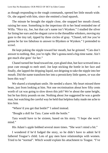as though responding to the rough commands, opened her little mouth wide. Or, she argued with him, since she emitted a loud squawk.

The minute he brought the nipple close, she snapped her mouth closed, raising her nose. Something in the imperious tilt to her head reminded me of Willa. "Nice try, Joe, but that cat's name isn't Wynken." I studied the silver fur lining her ears and the elegant curve to the threadlike whiskers, moving my gaze to the tiny tail, tipped by three circles of gray. "Chanel, tell Joe you're gonna be far too fabulous to answer to Blynken or Wynken." I pretended to scowl.

He kept poking the nipple toward her mouth, but he grinned. "Cats don't answer to nothing. But, you're right. She's gonna need a big-time name. Ain't got much else goin' for her."

Chanel turned her head toward me, eyes glued shut, but face screwed into a pout cute enough to melt steel. Joe kept sticking the bottle in her face and finally, she lapped the dripping liquid, not deigning to take the nipple into her mouth. Did the name transform her into a persnickety little queen, or was she born this way?

We shared a triumphant smile. He needed a shave. My heart missed three beats, just from looking at him. Not one recrimination about how fifty cents worth of cat was going to slow down this job? We're about the same height, but he has thirty pounds on me. Nothing about Joe suggested he was a gentle man, but watching the careful way he held that helpless baby made me ache to kiss him.

"Where'd you get that bottle?" I asked instead.

"Bought a doll for Tara. Came with the bottle."

Tara would have to be sixteen, based on his story. "I hope she won't mind."

His Adam's apple bobbed several more times. "She won't mind a bit."

I wondered if he'd fudged the story, so he didn't have to admit he'd fathered Teague's child. Lots of gay men have relationships with women. Tried to be "normal". Which would explain his attachment to Teague. "I've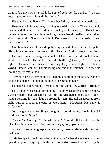dated a few guys who've had kids. Best of both worlds, maybe, if you can keep a good relationship with the mother."

His tone became fierce. "If I'd been her father, she might not be dead."

He wrenched his head away, looking toward the balcony. The planes of his face moved, like the earth shifting in a quake, but I saw no tears. He held out the white cat and bottle without looking at me. Chanel squalled at the sudden shift in her world. "She's done, I think. Don't seem to like my cooking. Here, feed the others."

Grabbing his hand, I picked up the gray cat and plopped it into his palm. "Keep him warm while I try to feed the black one. And it's okay to cry, Joe."

I shifted to sit cross-legged and tucked Chanel into the side pocket on my shorts. The black kitty latched onto the bottle right away. "There's your fighter," Joe assured me, his voice cracking. They were all fighters, I silently vowed. I knew I couldn't handle losing one, and at the moment, big Joe was looking pretty fragile, too.

Tiny nails pricked my palm. I turned my attention to the kitten, trying to decide on a name. "No one does black like Christian Dior."

He made a choked sound. "What's this one gonna be? Cartier? Tiffany?"

He'd hung with Teague for too long. The only designer's names he knew were jewelers. I glanced at the silver kitty. He wriggled onto his back in Joe's hand, stretching his back legs up around his ears. His tail disappeared from sight, curling around the edge of Joe's hand. "McQueen. His name is McQueen."

Joe dragged a huge forefinger along the exposed tummy. "As in Steve? I liked that movie *Bullit*."

*Such a fucking guy.* "As in Alexander." I could tell he didn't get the joke."Icon in women's fashion design. Very gifted, openly gay."

"Gotta find something to put these guys in," he reminded me, shifting onto his knees.

"My backpack should work for a little while." Chanel was already curled up and sleeping on my upper thigh, chin propped on crossed paws. "It's by the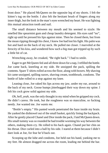front door." He placed McQueen on the opposite leg of my shorts. I felt the kitten's tug on the bottle. I also felt the hesitant brush of fingers along my inner thigh, but the look in the man's eyes wrenched my heart. He was fighting this mutual attraction tooth and nail.

The small distance between my mouth and his seemed to sizzle. He smelled like spearmint gum and cheap laundry detergent. His eyes said "no", right up until he pressed his lips against mine. Then he closed them, but from the moan ripping through his chest, I knew Joe had lost his fight. His palm was hot and hard on the back of my neck. He pulled me closer. I marveled at the ferocity of his kiss, and wondered how such a big man got tripped up by such a little bit of cat.

Wrenching away, he croaked, "Be right back." I had to smile.

Eager to get McQueen fed and all three down for a nap, I refilled the bottle. Joe came back, kneeling at my side. He unzipped the pack, spilling the contents. Spare T-shirts rolled across the floor, along with boxers. My shaving kit came unzipped, spilling razors, shaving cream, toothbrush, condoms. The bottle of lube rolled to a stop against my knee.

Leaning close, Joe raked his lips across my jaw, under my ear, around to the back of my neck. Goose bumps jitterbugged their way down my spine. I felt his cock grow solid against my side.

*Oh, hell, yeah*, wasthe only thought in my mind when he gripped my cock. He didn't caress. He took, but the roughness was so masculine, so fucking needy. Joe wanted me. *Joe wants me.*

"Bottle's empty." His panted words penetrated the haze inside my brain. He yanked the dishtowel out of the small basket, quickly lining the backpack. After he gently placed Chanel and Dior inside the pack, I laid McQueen down. His small tummy was so rounded he had trouble worming his way between the others, making them cry. He rolled to his back again. Chanel put her chin on his throat. Dior curled into a ball by his side. I stared at them because I didn't dare look at Joe, for fear he'd back out.

Scooping up the lube and condoms, Joe held out his hand, yanking me to my feet. He almost dragged me across the room, leading me behind the bar.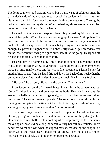The long counter stood past my waist, but a narrow set of cabinets lined the bartender's side of the counter. A gooseneck faucet loomed over a brushed aluminum bar sink. Joe shoved the lever, letting the water run. Turning, he jerked at the button on my shorts. When he had my shorts around my ankles, he turned to the sink, washing his hands.

I kicked off the pants and stepped close. He pumped liquid soap into my outstretched palm. When I was done washing up, he spoke. "Sit up there." It was dim on this side of the room because there weren't any windows. I couldn't read the expression in his eyes, but getting on the counter was easy enough. He patted the higher counter. I obediently moved up. I braced my feet on the lower counter, trying to figure out where this was going. He ripped off his jacket and finally shed that ugly shirt.

I'd seen him in a bathing suit. A thick mat of dark hair covered the center of his body, spiced by a few silver ones. His shoulders and upper arms were bare. I'm into manly men, and he was a fine specimen. I leaned over for another kiss. Water from his hand dripped down the back of my neck when he pulled me closer. I wanted to kiss. I wanted to fuck. His kiss *was* fucking.

"Sit back," he gasped, "Hands on the counter. Don't move."

I saw it coming, but the first weak blast of water from the sprayer was icy. "Jesus," I hissed. My balls drew close to my body. He curled his soapy fist around my half-hard shaft, stroking slowly, root to tip. The sprayer was trained on my sac. The water warmed quickly. The sensations ripped through me, making me pump inside the tight, slick circle of his fingers. He didn't rush me, seeming to enjoy watching me harden. "Scoot forward."

The warm spray moved lower. I closed my eyes and leaned back on my elbows, giving in completely to the delicious sensation of the pulsing water. He abandoned my shaft. I felt a cool squirt of soap on my balls. The spray moved again, now sliding along the sensitive strip beneath my testicles. Joe's hand was warm and wet when he cupped my sac, massaging the soap into a lather while the water nearly made me go crazy. Then he slid his fingers between my ass cheeks, sliding over my puckered entrance.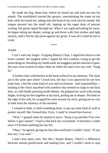He made me beg, damn him, before he rinsed me and took me into his mouth. The sonofabitch moved the sprayer, concentrating the water on my hole while he teased me, taking only the head of my cock into his mouth. His tongue pressed into the small slit, lapping up the eager drop of precum waiting. His groan ripped through me. When I was rigid and aching for more, he began taking me deeper, easing up and down with firm strokes and tight suction, until I felt his lips press against my groin. It was all I could do not to come.

\*\*\*\*

#### *Joseph*

*I can't wait any longer.* Gripping Manny's hips, I urged him down to the lower counter. He laughed when I ripped the first condom, trying to get the damn thing on. Brushing my hands aside, he snagged a packet and tore it open. His eyes were locked on mine while he rolled the latex over my cock. "Snug fit."

A leather chair with buttonsin the back surfaced in my memory. The chair sat in the same spot where I stood now, the day I was approved for my first bank loan. I felt the same kind of awe and excitement—and responsibility looking at the check inscribed with numbers that seemed so large to me back then, as I did finally pressing inside Manny. He gripped my waist with strong thighs, locking his feet together at my back, pulling me in deeper. Perched on the edge of the sink, he wrapped his arms around my neck, giving me no way to hide from the intimacy of the moment.

I wanted to hide, to hold something back, to put up some kind of wall to protect myself. But I kissed him. Fuck, I could've kissed him forever.

"Wait," I gasped when he started to move. "Keep it up and this'll be over before it gets started." I had to dial back my excitement. It had been a while since I'd fucked anything but my fist.

"Okay," he agreed, giving me that sloe-eyed look I couldn't resist. "If you kiss me, I can wait."

I don't kiss many men. Not like I kissed Manny. There's a difference between mutual gratification and making love, and I couldn't seem to stop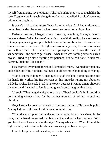myself from making love to Manny. The look in his eyes was so much like the look Teague wore for such a long time after her baby died, I couldn't save me without hurting him.

It wasn't hard to drag myself back from the edge. All I had to do was to remember the day the same banker turned me down for a bigger loan.

Patience restored, I began slowly thrusting, watching Manny's face in between kisses. When he wasn't tempting me with those lips, he was looking into my eyes, tearing me up with that devastating combination of provocative innocence and experience. He tightened around my cock, his smile knowing and self-satisfied. Then he raised his lips again, and I saw the flash of vulnerability—the need to get closer—when there was nothing between us but sweat. I tried to go slow, fighting for patience, but he had none. "Fuck me, dammit. Fuck me like a man"

He absorbed every hard thrust and demanded more. I wanted to watch my cock slide into him, but then I realized I could see more by looking at Manny.

"Can't last much longer." I managed to grab the lube, pumping some into his hand. He worked his fist between us, his knuckles raking my abdomen while he stroked his cock. I had to take over, because I wanted him to shoot on my chest and I wanted to feel it coming, so I could hang on that long.

"Joseph." That ragged whisper tore me up. Then I couldn't think, couldn't do anything except strive for the perfect moment of jolting, wrenching, oblivion.

Guys I know let go after they get off, because getting off is the only point. Manny held on tight, and I didn't want to let him go.

When the sun dipped below the surrounding buildings, we kissed in the dark, until Chanel unleashed that bossy voice and woke her brothers. "Will you feed them? I wanna paint the sky," Manny whispered. When I found the light switch, that just-about-to-break look was gone from his eyes.

I had to keep those kittens alive, no matter what.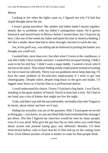### *Manny*

Looking at Joe when the lights came on, I figured out why I'd had that stupid thought about the tea.

I wasn't going anywhere. My mother and father hadn't stayed together, mostly due to problems with my father's immigration status. He'd grown homesick and moved back to Mexico before I turned three, but I'd grown up here. Like one of the weeds my father had spent his time in America battling, I felt like a tender shoot that had to drive through concrete to reach the sun.

Joe, in his gruff way, was telling me he believed in picking the battles you thought you could win.

I wanted him, more than ever, but after what I'd seen at the courthouse, it waslike I didn't have eyelids anymore. I wanted himon equal footing. I didn't want to be his rent boy. I didn't want a sugar daddy. I wanted a lover who'd see me as his equal. That meant finding steady employment instead of waiting for Joe to hand me odd jobs. Thirty was too goddamn old to keep dancing. I'd face the same problem of hit-and-miss employment if I tried to get into choreography. Despite talent, despite long hours in the gym and studio, I'd logged more hours as a barista than as a professional dancer.

I could understand his choice. I knew I'd picked a big battle. I was David, standing in the giant shadow of hatred. David at least had a rock. All I had in my hand was a trio of kittens that might not live the night.

Yeah, and there was still the uncomfortable, inevitable chat with Teague to be faced, about where and how we'd met.

Hiding my sexuality was out of the question. Hell, I'd just gone on record as being gay—you know, in case any blind folks had overlooked the message I put down. Not that I figured my interview would be seen by many people, even if it was aired. Why give the gay boy the air time when you could bleat about racism and pretend hating gays was different? Besides, I'd been interviewed before, only to have that bit of film end up on the cutting room floor. Even fifteen minutes of fame is harder to come by than people think.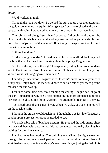## *Joseph*

We'd worked all night.

Through the long windows, I watched the sun pop up over the restaurant, the golden arc making me squint. Wiping sweat from my forehead with an arm spotted with paint, I wondered how many more hours this part would take.

The job moved along faster than I expected. I thought he'd dab on the clouds with a brush, but he used the roller, smearing white paint in a blob, then he'd blot or wipe most of the paint off. If he thought the spot wastoo big, he'd just wipe on more blue.

"I think I'm done."

"Is that enough clouds?" I turned in a circle on the scaffold, looking at all the blue that still showed and thinking about how picky Teague was.

"Gotta let the sky show through," he explained, sliding his arms around my waist. Paint smeared from his skin to mine. "Otherwise, it's a cloudy day. Who'd want that hanging over their head?"

I suddenly understood Teague's idea. It wasn't dumb to have your own sunny day. Only a fool like me would need to see a circle of yellow to get the message the sun was up.

I realized something else, too, scanning the ceiling. Teague had let go of the dark. I understood why she'd been so fucking stubborn about not admitting her fear of heights. Some things were too important to let fear get in the way.

"Let's curl up and take a nap, lover. When we wake, you can help me roll on the crackle stuff."

I thought the cracks would fuck it up. I thought he was just like Teague, so caught up in a project he forgot he needed to eat.

We made a big pile of blankets upstairs. He plopped the kids on my chest and washed them with a warm rag. I dozed, contented, not really sleeping, but waiting for the kittens to cry.

I woke, heart hammering. The building was silent. Sunlight streamed through the upper, uncovered part of the narrow windows at my back. I stretched my legs, listening to Manny's even breathing, enjoying the feel of his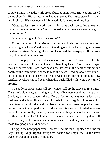solid warmth at my side, while dread clutched at my heart. His head still rested on my shoulder. His hair was streaked with paint. The kitties started to mewl, and I relaxed. His eyes opened. I brushed his forehead with my lips.

"Gotta go let in some workmen. I'll bring us back something to eat and make up some more formula. We can go to the pet store once we roll that goop on the ceiling."

"Can you bring a big jug of sweet tea?"

Of course I could. After kissing him fiercely, I reluctantly got to my feet, wondering why I wasn't exhausted. Bounding out of the bank, I jogged across the deserted street. Smiling like a fool, I scooped the newspaper off the front mat, shoving it under my arm.

The newspaper smeared black ink on my clouds. Above the fold, the headline screamed, Teens Sentenced in Lynching Case. *Good.* Since Teague took her coffee with Cam most days now, I'd got in the habit of sitting in a booth by the restaurant window to read the news. Reading about this attack, and looking out at the deserted street, it wasn't hard for me to imagine how terrified Tyrell Foster had been when that truck filled with white boys turned around.

The outlying farm towns still pretty much roll up the streets at five-thirty. The state's blue laws, governing what kind of business could legally open on Sundays, weren't a concern there. Only a few restaurants even tried to do business on the day still set aside exclusively for church-going. At seven-thirty on a Saturday night, that kid had been damn lucky three people had been getting freaky in a car parked across the street. Five teens, bottle-fed mindless hatred from the cradle, fueled by a few beers, with a young girl along to show off their manhood for? I shuddered. Ten years seemed fair. They'd get off sooner with good behavior and community service, and maybe more than just those five people would be wiser.

I flipped the newspaper over. Another headline read, Eighteen Months for Gay Bashing. Anger ripped through me, hosing away my glow like the street sweeper creeping past the front door.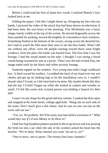Before I could read the first of damn few words, I realized Manny's face looked back at me.

Folding the paper, I felt like I might throw up. Dropping my face into my hands, I pictured the video of the attack that had been shown on television. It had been dark, the wee hours of the morning. Trey McDaniels was a fuzzy image, barely visible at the top of the screen. He moved diagonally across the lines painted for parking, toward the brightly-lit convenience store windows. Something flashed at the bottom of the screen, arcing across the deserted lot, but I had to watch the film more than once to see the beer bottle. What I did see without any effort, were the people running toward those same bright windows, from the place the bottle was hurled from. The first time I saw the footage, I had the sound muted on the tube. I thought I was seeing a bread crumb being swarmed by ants at a picnic. Then I saw the hail of dark fists, the image made stark by the black-and-white security footage.

Someone tapped on the window. Two young men held a huge cardboard box. A third waved his toolbox. I scrubbed the back of my hand over my wet cheeks and got up on shaking legs to let the installation crew in. I couldn't absorb what I'd read, so I did what had to be done. My insides shook like they had the day I'd held Teague up while she looked at caskets and wreaths so small, I'd felt like some sick, twisted person was holding a funeral for their doll.

I wasn't in any shape for the good-old-boy routine. I yanked the door open and snapped at the fresh-faced, college-aged kids. "Hang one on each side of the room. Don't much give a shit where. Just be sure no one can trip on the wires and sue me."

"Yes, sir. No problem. We'll be outta your hair before you know it." *What would they say if I'd sent Manny to let them in?*

I had four big breakfast platters packed in the to-go boxes and was pouring the fresh tea into a jar when the one of the workers poked his head into the kitchen. "We're done. What channel you want 'em set to, sir?"

"One to news, one to sports. The twenty-four hour channels."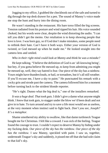Jogging to my office, I grabbed the checkbook out of the safe and turned to dig through the top desk drawer for a pen. The sound of Manny's voice made me stop the hunt and hurry into the dining room.

He wasn't standing in the restaurant. His bare torso filled the big screens. Tension radiated from his posture and wind ripped his hair. His voice sounded choked, but his words were clear, despite the wind distorting the audio. "I can tell you didn't get the memo. Our retaliation is to keep showing people that love is love. I was born gay, so if God don't make mistakes, some people need to rethink their hate. Can't have it both ways. Either your version of God is twisted, or God messed up when he made me." He looked straight into the camera lens and smiled.

## *Who in their right mind could look at Manny and think he was a mistake?*

He kept talking. "I believe the definition of God is an 'all-knowing being', but hey, if you gotta believe He messed up, to keep from admitting *you* might be messed up, well, they say hatred is fear. Our piece of the sky has a rainbow. Yours might have thunderclouds, or hail, or tornadoes, but it's all still weather. If you'll excuse me, I have a sky to paint." He punctuated his remark with a cocky grin and strode past the camera. The camera followed himfor a moment before turning back to the strident blonde reporter.

"He's right. Dunno what the big deal is," one of the installers remarked.

*It was a huge deal. That took guts.* I didn't give a damn what anyone might think. I *knew* that took guts, to stagger under the blow we'd been dealt and not give in to hate. To turn around and try to save a life most would see as useless, at the very moment when instinct said to fight back. *Don't you see, Joseph? It's a metaphor.*

Shame smothered my ability to swallow, like that damn turtleneck Teague bought me for Christmas. I felt like a coward. I was sick of the feeling. Teague found the courage to trust. I couldn't expect to deserve Manny by hiding under my fucking desk. *Our piece of the sky has the rainbow. Our piece of the sky has the rainbow.* I saw Manny, speckled with paint. I saw us, together, underneath Teague's sky and suddenly, it pissed me off that she had sole claim to that kid's sky.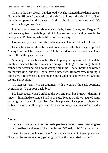Then, in the next breath, I understood why she wanted those damn cracks. Not much different from hard sex, the kind that hurts—the kind I like. Need the pain to appreciate the pleasure. And that head rush afterward, well, it's from knowing you survived.

I understood something about me, too. Why I need Manny and Teague. To jerk me away from the daily grind of living and rub my fucking nose in the beauty, else I'd live my whole life never seeing any.

I knew beauty when it was shoved in my face. I knew truth when I heard it.

I knew how to kill three birds with one phone call. Shut Teague up. Tell Manny how much he meant to me. Tell the world to suck it up and deal. Only one of those things scared me.

Spinning, I hurried back to the office. Flipping through my cell, I found the number I needed by the Braves cap image. Inhaling till my lungs hurt, I stabbed the screen before I could change my mind. The fat bastard answered on the first ring. "Bobby, I gotta have a new sign. By tomorrow morning. I don't give a fuck what you charge me, but I gotta have it by eleven. Use the picture I'm sending."

"A man just can't win an argument with a woman," he said, sounding sympathetic. "I got your back, bro."

My heart raced when I grabbed the pen and pad, but I knew—dammit, I knew—things had to change. I had to change. Teague would've laughed at my drawing, but I was pleased. Terrified, but pleased. I snapped a photo and stabbed the screen till the phone said the damn image went where I wanted it to go.

\*\*\*\*

#### *Manny*

Teague strode through the propped-open front doors. I froze, watching her tip her head back and yank off her sunglasses. "Who did this?" she demanded.

"Well it sure as fuck wasn't me." Joe's voice boomed in the empty space. "I guess I forgot to mention, you might not be the only artist I know."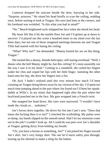Cameron dropped the suitcase beside the door, hurrying to her side. "Surprise, princess." He raised his head briefly to scan the ceiling, nodding once, before turning to look at Teague. His eyes had lines at the corners, and his forehead was wrinkled. "Is this what you had in mind?"

"No." Beach-brightened curls whipped her face when she shook her head.

My heart felt like it hit the marble floor Joe and I'd gotten up at dawn to uncover. I'd played out this scene a hundred times in my mind over the last three days, but not one of those imagined meetings between me and Teague Tillis had started with her hating the ceiling.

"What? Why not?" Joe demanded. "Manny busted his ass on this thing, Teague."

She turned like a skinny, blonde helicopter, still staring overhead. "Well, I dunno who the hell Manny might be, but this ceiling? It's most assuredly *not* the way I saw it in my head." Coming to a standstill, she curled her fingers under her chin and wiped her lips with her little finger. Jamming the other hand onto her hip, she drew her fingers into a fist.

*Oh, fuck.* I hadn't realized until this very minute how much I'd been counting on Teague being blown away by my version of hersky. I'd spent too much time jumping ahead to the part where Joe found out I'd been her spankdaddy at Willa's. In my mind, that happened right after the part where her boyfriend punched me in the face. My guts wrapped into a French twist.

She snapped her head down. Her eyes were narrowed. "I wouldn't have made the clouds so… turbulent."

Joe's brows drew together. He drove his fist into Cam's arm. "Does that mean she fucking likes it or not?" I clutched the scaffolding. My palms were so damp, my hands slipped on the smooth metal. Had I let my emotions come out in the job? I couldn't look up. All I could do was peer over Joe's shoulder at Teague, getting dizzy from holding my breath.

"Uh, you have a hernia or something, Joe?" Cam poked his finger toward Joe's shirt. Joe's very lumpy shirt. The one he'd stuck safety pins through, turning up his shirttail to make a sling for the babies.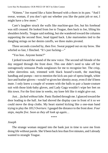"Kittens." Joe roared like a Saint Bernard with a thorn in its paw. "And I swear, woman, if you don't spit out whether you like the paint job or not, I might have a few more."

Cam's laughter struck the walls like machine-gun fire, but his forehead was still creased. He looked from Joe to Teague, then back to Joe, lifting his shoulders briefly. Teague said nothing, but she wandered toward the columns supporting the second floor, head tipped back. Like marionettes tied to the dangling strings on her denim cutoffs, we three males pivoted.

Three seconds crawled by, then five. Sweat popped out on my brow. She whirled so fast, I flinched. "It's just fucking—"

"Yoo hoo. Anyone home?"

I jerked toward the sound of the new voice. The second tall blonde of the day stepped through the front door. This one didn't need to take off her outrageously sensuous Prada sunglasses for me to recognize her. The crisp, white sleeveless suit, trimmed with black hound's-tooth, the matching handbag and pumps—not to mention the kick-ass pair of opera-length, white lace and leather gloves—would've given her identity away, even if she'd been mute. I only knew a couple of women with the balls to pair a haute-couture suit with those kink-baby gloves, and Lady Gaga wouldn't wipe her feet on this town. For the first time in weeks, my knee felt like it might give out.

*Just… fucked without lube.* Panic flushed through me. I glanced toward the door leading to the hall. Joe had shoved the display case in front of it so we could move the drop cloths. My heart started kicking like a one-man band trying to play the *1812 Overture.* I gauged the distance to the front door. *Four steps, maybe five. Soon as they all look up again…*

\*\*\*\*

#### *Joseph*

The strange woman stepped into the bank just in time to save me from doing life without parole. She'd been back lessthan five minutes, and I already wanted to strangle Teague.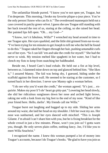The unfamiliar blonde purred. "I know you're not open yet, Teague, but I'm desperate. This morning, I broke my favorite plique-a-jour piece. You're the only person I know who can fix it." The overdressed mannequin held out a case covered in patchy green velvet. I guess she saw Teague still standing with her back toward the rest of us, staring at the ceiling, so she raised her head. Her painted lips fell open. "Oh… my God—"

"I know, isn't it fabulous, Willa?" I wrenched my head around in time to see Teague spin. Her eyes sparkled, and the little shit grinned from ear-to-ear. "I've been trying for ten minutes to get Joseph to tell me who the hell he found to do this." Teague raked her fingers through her hair, pushing untamable curls out of her eyes. "So I can kill 'em and take the credit for myself." She had the nerve to wink. My tension melted like spaghetti in hot water, but I had to clench my fists to keep from snatching her baldheaded.

Beside me, I heard Cam's loud exhale. He held out a fist at hip level, between us. I slammed mine down on top and glanced behind him. "She likes it," I assured Manny. The kid was being shy, I guessed, hiding under the scaffold against the front wall. He seemed to be staring at the customer, so I turned back in her direction. I never saw Manny ogle a woman before.

"I do see why you'd want the credit," the woman agreed. "It's just… ex*quisite*. Makes my poor li'l ole' heart go pitty-pat." Lowering her head slowly, she slid her ridiculous sunglasses down her nose and arched light brows, raking me with a look from my big feet to the end of my nose. "Kind of like your friend here. Hello, darlin'. My friends call me Willa."

Teague burst out laughing and hugged up to my side. Sliding her arms around my waist, she laid her head on my shoulder. I felt her swat my ass. Her nose was sunburned, and her eyes danced with mischief. "This is Joseph Gilante. I'm afraid I can't share him with you, but he is fixing breakfast for the whole crowd in just a few minutes. Please, won't you join us? I gotta warn you, though. He only serves plain coffee, nothing fancy. Joe, I'd like you to meet Willa Seachrist."

I recognized the name. I knew this woman pumped a lot of money into Teague's accounts, because I do Teague's books. "Be glad to have you join us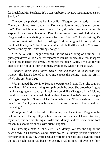for breakfast, Ms. Seachrist. It's a test run before my new restaurant opens on Sunday."

The woman pushed out her lower lip. "Teague, you already snatched Cameron right out from under me. Don't you dare tell me this one's yours, too?" The bold blonde turned toward Cam, throwing her arms wide. He stepped forward to embrace her. Even kissed her on the cheek. I shuddered. Teague had her man-hating moments, for sure. This one? She ate last night's lovers for breakfast, I'd bet my last egg. "I'd be delighted to join y'all for breakfast, thank you." Over Cam's shoulder, she batted thick lashes. "Plain old coffee's fine by me, if it's strong enough."

"Oh, hello Curt." Teague sounded like she was choking on a fur ball. "I guess you drove Willa? You're welcome to join usfor breakfast, too.Joseph's place is right across the street. Let me see the piece, Willa. I'm glad for the chance to do plique-a-jour. Not many even know what it is these days."

*Teague's never met Manny. That's why she thinks he came with this woman.* She hadn't looked at anything except the ceiling—and me. *But… why'd she call him Curt?*

Willa slapped the box into Teague's outstretched hand. Then she spun on her stilettos. Manny was trying to slip through the door. She drove her fingers into hissagging waistband, yanking him around like a Raggedy Ann. I felt my mouth fall open. He hunched his shoulders, looking like he'd just got caught jacking off in public. She shook her finger in his face. "Emmanuel Curtis, how *could* you? Thank you *so* much for savin' me from having to hunt you down like a dog."

*Paint fumes?* I did a fast add of the money she'd spent with Teague in the last six months. Being filthy rich *was* a kind of insanity. I looked to Cam, mystified, but he was staring at Willa and Manny, and for some damn fool reason, his shoulders shook with silent laughter.

He threw up a hand. "Hello, Curt… er, Manny. We saw the clip on the news down in Charleston. Good interview. Willa, honey, you're wasting a perfectly good hissy-fit. Until Teague swore up one side and down the other the guy on television had been her escort, I had no idea I'd ever seen him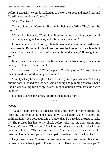before. Seriously, he coulda walked up to me on the street and kissed me, and I'd still have no idea we'd met."

*What. The. Hell?*

Teague piped up. "You can't fire him for being gay, Willa. That's gotta be illegal."

Willa rolled her eyes. "Could I get fired for outing myself as a woman if I had a drag queen gig? Hell yes, and this is the same thing."

I threw up my hands. "Okay, I thought maybe the paint fumes had gotten to you people. But now, I think I need to take the kittens out for a breath of fresh air. Don't want 'em catchin' whatever brain damage y'all brought with you."

Manny peered at me when I stabbed a hand at the front door, a plea in his dark eyes. "I can explain, Joseph."

"Oh, for heaven's sake," Willa snapped. "You're gay, too? Pussy just ain't the commodity it used to be, goddammit."

"Can I just say how delighted I am to know you're gay, Manny?" Striding out the door, I looked back to see Cam grinning and pumping Manny's hand like he was waiting for it to spit water. Teague doubled over, shrieking with laughter.

I stomped across the street, ignoring the honking horns.

\*\*\*\*

# *Manny*

Teague finally seemed to catch her breath. She threw slimarms around me, brushing Cameron aside and blocking Willa's baleful glare. "I adore the ceiling, Manny. It's gorgeous. Much bolder than I'd have had the guts to make it." She pressed her lips to my cheek before releasing me and turning into Cameron's arms. "Thank you." She interspersed her words with noisy kisses, covering his face. "The whole ride back from the coast, I was miserable, dreading having to tell you and Joe to paint the damn thing back white."

He grinned at me. "I guess you just saved my ass. Joe bitches like an old woman when he has to paint. Thanks so much. How much do we owe you?"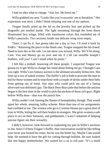I had no idea what to charge. "Ask Joe. He hired me."

Willa grabbed my arm. "Lookslike you're escortin' me to breakfast." Her expression was stern. I didn't think refusing was one of my options.

Teague finally pried up the lid on the jewelry box and picked up the dragonfly pin nestled inside. The light streaming through the front doors illuminated lacy wings, filled with translucent colors that reminded me of Willa's peacocks. Two sections inside one delicate wing were empty.

"Sure, I can fix it. Just gonna take me a day or two. I'll send it back by FedEx." Returning the piece to the fitted case, Teague snapped the lid closed. Need to lock this in the safe. Let me show you around, Willa. We'll be along, Cam. You and Manny go on over and see if y'all can unruffle Joseph's feathers, will you? I can't stand when he pouts."

I felt like a pinball, bouncing off these people. I suspected Teague was gonna try to get Willa to change her mind about letting me go. I thought Cam was right. Willa's sex fantasy auction is the ultimate sexuality litmus test. She lines up a row of naked women. The fluffer's job is both to provoke the men to bid for those women and to stop those with a couple of drinks under their belts from getting out of hand. Any man who could pick me out of a lineup afterward was definitely gay. The Back Door Boysjoke that before the auction began is the best time in the world to pick the pockets of those rich guys. Right before Willa does—that was the punch line.

Willa couldn't risk fanning the flames of homophobia, though. That would upset her whole, amazing, ballsy scheme. More than one of my assignments had confided in me. The women who go to Carmine House put a great deal of trust in Willa, letting her sell their bodies to strangers. She gives women a safe place to act on their fantasies, and goddammit, I wasn't ashamed of helping anyone figure out their sexuality.

I didn't, however, look forward to explaining my part in Willa's auctions to Joe. Since I'd been Teague's fluffer, that conversation would be like telling your lover you fucked his sister, but he was the better lay. Maybe Cam would help. He seemed to have the gift for cutting through bullshit. He sure looked like one happy motherfucker. We waited for a car to roll past. "It's a small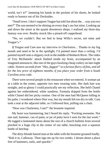world, isn't it?" Jamming his hands in the pockets of his shorts, he looked ready to bounce out of his Docksides.

"Small town. I don't suppose Teague has told Joe about the... way you two met?" The sun seemed to be shining on every dog's ass but mine. Looking up and down the street at the quaint downtown shops, I realized my three-day fantasy was over. Reality struck like a pissed-off copperhead.

"No, we couldn't. But we lied to keep Willa's secret, not mine and Teague's."

*If Teague and Cam saw my interview in Charleston…* Thanks to my big mouth and need to be in the spotlight, I'd painted more than a ceiling. I'd painted myself onto a slippery rock in the middle of Redneck River. The video of Trey McDaniels' attack flashed inside my brain, accompanied by an imagined announcer, like one of the guys hawking cheap cutlery on late-night cable. *Sixteen seconds from "Hey, faggot!" to a furious flurry of fists, and all for the low price of eighteen months, if you place your order from a South Carolina area code.*

There were several people in the restaurant when we entered. A woman sat at a table in the center, opposite two men wearing suits. Her dark hair was straight, and so glossy I could practically see my reflection. She held Chanel against her embroidered, white sundress. Formula dripped from the bottle while Chanel did her picky routine. One of the men had McQueen lolling in his palm. I wondered where Dior was, but my mouth felt too dry to talk. Cam took a seat at the adjacent table, so I followed him, pulling out a chair.

"How was Charleston, Cam?" the brunette inquired.

My heart was hammering, but I heard his reply. "Fucking awesome. Not one nail, hammer, can of paint, or jar of putty have I seen for the last week." He tugged a laminated menu about the size of a church bulletin from several pinched in a huge clip in the center of our table, knocking over a squeeze bottle of ketchup.

The dirty-blonde haired man at the table with the brunette groaned loudly. "Rub it in, Calloway. Then sign me up for two weeks. I dream about a place free of hammers, nails, and spackle."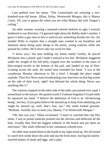Cam peeked over his menu. "The Carmichaels are restoring a twohundred-year-old house. Jillian, Dylan, Wentworth Morgan, this is Manny Curtis. Jill, you're gonna die when you see what Manny did with Teague's ceiling."

An older woman, wearing a mustard-colored uniform so ugly I winced, lumbered in our direction. I'd guessed right about the Bobby dude's mother. *I guess it takes a gay man to hire a waitress for something besides her tits.* Joe needed Willa to explain that a straight man wanted to eat breakfast and fantasize about doing nasty things to the pretty, young waitress while she poured his coffee. He'd never take my word for that.

"I know you," the man holding my kitten stated. Gently, he placed McQueen into a plastic pail I hadn't noticed at his feet. McQueen staggered under the weight of his full belly, tripped over the wrinkles in the mass of blue-striped towels in the bottom of the pail, and landed on top of Dior. Leaning across the aisle, the suited man extended his hand. "I was at the courthouse Monday afternoon to file a brief. I thought the place might explode. Then Fox News starts broadcasting your interview on that big screen on the side of their truck, right? Just defused the whole thing. Never saw anything like it."

The waitress stopped on the other side of the table, pen poised over a pad. I turned back to the lawyer. He quoted words I'd almost forgotten I'd said while he squeezed my hand. "I believe the definition of God is an 'all-knowing being', but hey, if you gotta believe He messed up to keep from admitting *you* might be messed up, well, that's fear, too." His smile looked genuine. "Brilliant. Awfully nice to meet you, Manny. I'm Wentworth Morgan."

"Oh, that *was* you," Jillian exclaimed. "I must've watched that clip fifty times. I was so proud someone pointed out the obvious and deflected all the hate. Usually they find the biggest redneck in the bunch and put them on television." Her smile reflected in her cinnamon-colored eyes.

An older man seated alone in the booth to my right stood up. We all turned to watch him stride down the aisle and out the front door, leaving his barelytouched platter of steak and eggs, and a pipe.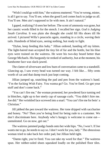"Wish I could go with him," the waitress muttered. "You're wrong, mister, is all I got to say. You'll see, when the good Lord comes back to judge us all. You'll see. Men ain't supposed to lie with men. It ain't natural."

I gaped, realizing I'd seen her before. The scent of ammonia was gone, but her caustic words filled in for the stench. I recalled her sign. *God is Judging South Carolina*. It was plain she thought she could fill His shoes till He arrived. I pictured Willa's peacocks again, standing in a circle, waving their tails. Hundreds of blind eyes, seeing nothing, but ready to fight.

"Dylan, keep feeding this baby." Jillian ordered, handing off my kitten. The light-haired man accepted the tiny bit of fur and the bottle, but his blue eyes were trained on the waitress. He wore his two-day beard better than George Michaels. His burgundy tie reeked of authority, but at the moment, his handsome face was slack-jawed.

The clatter of silverware and low hum of conversation came to a standstill. Glancing up, I saw every head was turned our way. I felt like… fifty cents worth of cat and that dump truck just kept coming.

Jillian jumped up, snatching the pad and pen from the waitress's hand. "I'm the fucking Wish Fairy. You wanna go? Go. You're fired. Go get your stuff and don't come back."

"You can't fire me," the woman protested, her powdered face turning red in blotches, right up to her steely cap of sausage curls. "You didn't hire me. Joe did." Her wrinkled face screwed into a snarl. "You can't fire me for bein' a Christian."

Jill jabbed the pen toward the waitress. Her tone dripped with saccharine and honey. "No? Then you're being fired for being rude to a customer. We don't discriminate here. Anybody who's hungry is welcome to come eat unmolested. Go on now, get out."

The waitress jammed pudgy hands onto her wide hips. "No, I won't. If Joe wants me to go, he needs to say so. I don't work for you, lady." The obnoxious woman tried to take back her order pad, but Jillian held tight.

"Damn right, you're fired. You can take *my* word for that." The waitress spun. Her rubber-soled shoes squeaked loudly on the polished floor tiles.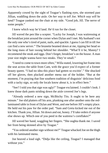Apparently cowed by the sight of Teague's flashing eyes, she stormed past Jillian, waddling down the aisle. *On her way to tell Joe. Which way will he land?* Teague yanked out the chair at my side. "Good job, Jill. The nerve of some people."

I knew which way he'd land. He'd run for the closet.

Jill waved the pen like a scepter. "Lucky for Joseph, I was waitressing at the breakfast joint around the corner when Dylan and I met. My husband's not the only one who's tired of paint, nails, and spackle. I guess I can fill in till Joe can find a new server." The brunette beamed down at me, tipping her head so the long mass of hair swung behind her shoulder. "What'll it be, Manny? I recommend the steak and eggs. Don't forget, breakfast's on the house. A man your size might wanna have two steaks. They're small."

"I need to come to town more often," Willa stated, lowering her frame into the seat across the table from Cam, with the grace you'd expect of a former beauty queen. "I had no idea this place had gotten so excitin'." She shucked off her gloves, then plucked another menu out of the holder. "But at the moment, I'm praying that fine southern tradition of disguisin' delicious food with a tacky sign, so only the locals know about it, is in effect here."

"See? I told you that sign was ugly!" Teague exclaimed. I couldn't look. I knew those dark pants striding down the aisle covered Joe's legs.

"Already ordered a new sign, McBitchy Tits. It ought to be here any minute." Joe slid platters off his arm, plunking one after another onto the redlaminated table in front of Dylan and Went, and one before Jill's empty place. He held out his paw for the order pad. "Sam and Greta kicked me out of the kitchen. Thank you,Jillian. Sit down and eat, honey. I'll take orders if anyone else shows up. Which one of you peed in the waitress's cornflakes?"

Jill waved her hand, waggling her fingers. "She oughta thank me. I saved her from being skinned alive by Teague."

"You ordered another sign without me?" Teague whacked Joe on the thigh with his laminated menu.

Joe heaved a loud sigh. "Didja like the ceiling, Teague? I managed that without you."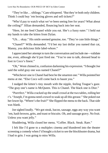"They're like… siblings." Camwhispered. "But they're both only children. Think I could buy 'em boxing gloves and sell tickets?"

"Who'd pay to watch what we've been seeing free for years? What about the ceiling?" Jillian demanded, flouncing back into her seat.

"Here, let me feed Chanel while you eat. She's a fussy eater." I held out my hands to take the kitten from Dylan.

"Uh… okay." His smile seemed genuine, too. "They're cute little things."

"Chanel?" Willa demanded. "I'd bet my last dollar you named that cat, Manny, you delicious little label-whore."

I appreciated her attempt to turn the conversation and include me—validate me, even, although she'd just fired me. "You're one to talk, dressed head to foot in Coco's finest."

"Oh," Went chimed in, confusion darkening his expression. "I thought Joe said the solid gray one was named Chanel?"

"Whichever one is Chanel had best be the smartest one." Willa pointed her menu at me. "Else Coco will come back to haunt you."

I nudged the kitten's tiny mouth with the nipple, feeling Teague's gaze. "The gray one's name is McQueen. This is Chanel. The black one is Dior."

"Purrrfect." Willa cracked up the small crowd at the two tables, rolling her r's. "Joseph, I'm gonna need a towel to soak up all this grease." She poked out her lower lip. "Where's the fruit?" She flipped the menu to the back. That side was blank.

Joe sighed loudly. "We got steak, bacon, sausage, eggs any way you want 'em, hash browns, grits, and toast or biscuits. Oh, and sausage gravy. No fruit. Unless you want jelly."

Shuddering, Willa closed her menu. "Coffee. Black. Steak. Rare."

I felt like I'd gone to a multiplex cinema and blundered into the theater screening a comedy when I'd bought a ticket to see the blockbuster drama, but I had to grin. I was going to miss Willa.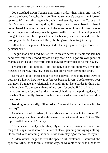Joe scratched down Teague and Cam's order, then mine, and stalked toward the back. I watched him go. Feeling someone's eyes on me, I looked up to see Willa scrutinizing me through slitted eyelids, much like Teague still did. My heart took one rapid, guilty leap, then I remembered… then I remembered Joe would expect much the same code of behavior from me as Willa. Teague looked away, reaching over Willa to offer Jill her cell phone. I thought Chanel wasfull. I placed her in the bucket, in an unoccupied spot. She promptly woke McQueen and Dior, climbing over them to get on top.

Jillian tilted the phone. "Oh, my God. That's gorgeous, Teague. Your own personal sky."

Teague shook her head. She stretched an arm across the table and laid her hand over mine the second my ass hit my seat. "No, I got my own piece of Manny's sky. He did the work. I'm just awed by how beautiful that sky is."

I wanted to like Teague. I did like her, but at the moment, I was too focused on the way "my sky" sure as hell didn't reach across the street.

Or maybe I didn't mean enough to Joe. Not yet. I tried to fight the wave of despair. I'd known how he was before we became lovers. Too late to cry over that now. I'd made any relationship he and I might have harder for him with my interview. To be seen with me left no room for doubt. If I'd had the cash in my pocket to pay for the four days my truck had sat in the parking deck, I'd have left. The friendly chatter from his friends washed over me, but I couldn't tune it out.

Nodding emphatically, Jillian asked, "What did you decide to with the balcony?"

Cam interrupted. "Hush up, Jillian. My vacation isn't technically over. I'm not ready to go another round with Teague over that second floor. Not yet. The topic is off-limits until Monday."

"Poor bastard. I feel you, brother," Dylan muttered, raising the thick china mug to his lips. Went sawed off a bite of steak, grinning but saying nothing. He seemed to be watching the silent news show playing on the wall to my left.

"Dylan wants Teague to rent the space," Jill explained. I assumed she spoke to Willa. I tried to smile, but the way Joe was able to act as though there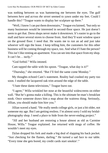was nothing between us was hammering me between the eyes. The gulf between *here* and *across the street* seemed to yawn under my feet. Could I handle this? "Teague wants to display her sculpture up there."

"Well, I know I can put them downstairs," Teague exclaimed, "but only so many businesses would be interested in second-floor space. He just doesn't seem to get that. Dress shops never make it downtown. It's easier to go to the mall and have several stores to choose from. And they'll want window space on the ground floor. I need that. He wants me to run an ad and just take whoever will sign the lease. I keep telling him, the customers for this other business will be coming through my space, too. And what if I hate the person? This isn't like renting an apartment. You can see into that space from my shop. It can't be… *tacky*."

"God forbid." Willa intoned.

Cam tapped the table with his spoon. "Teague, what day is it?"

"Thursday," she retorted. "But I'll feel the same come Monday."

My thoughts echoed Cam's statement. Reality had crashed my party too soon. I studied the lacquered oak trim around the edge of the table.

"I hate these damn televisions," Teague burst out.

"I agree," Willa wrinkled her nose at the beautiful widescreens on either wall. "But he's gonna make a killing. This is the ultimate he-man's breakfast nook. Once someone draws him a map about the waitress thing. Seriously, Jillian, you should make him hire you."

Jillian waved a hand. "He really needs college girls, or just a bit older, not someone my age. But I am getting restless. I'm almost sorry I sold my bridalphotography shop. I need a place to hide from the never-ending project."

"Jill and her husband are restoring a house almost as old as Carmine House, Willa." Teague explained. Joe returned with mugs of coffee. He wouldn't meet my eyes.

Dylan dropped his fork and made a big deal of slapping his back pocket. "Just checking for the flames, darling." He turned a sad face to our table. "Every time she gets bored, my credit cards start smokin'."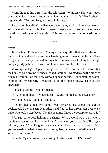Went dragged his gaze from the television. "Waitress? She won't even bring us chips. I wanna know what Joe has that we don't." He flashed a roguish grin. "Besides Teague's teeth in his ass."

I was sure they didn't realize every word they said made me feel worse. Willa was absolutely right. He'd opened a man-cave that served the ultimate man-food, the lumberjack breakfast. This was ground zero for don't ask, don't tell.

\*\*\*\*

### *Joseph*

Maybe later, I'd laugh with Manny at the way Jill called herself the Wish Fairy. But I could see he wasn't in a laughing mood. I was afraid he didn't get Teague's personality. I peered through the front windows, looking for the sign company. My palms were wet, and I damn near fumbled the pen.

A young black girl stepped through the door. I'd never seen her before, but the hunk of gold around her neck looked familiar. I wanted to end the practice run, but I couldn't do that now without appearing rude—or something worse. "C'mon in, sweetheart. Breakfast is on the house today. Take a seat anywhere."

"I need to see the owner or manag—"

"Oh, my god, that's my necklace!" Teague pointed at the newcomer.

Willa piped up. "No doubt about it."

The girl had a massive purse over her arm, just about the ugliest pocketbook I'd ever seen. Her other hand flew to her throat. Her eyes went wide. She took a step back. "No, this is mine. I have the receipt to prove it."

Willa got to her feet, holding out a hand. "What a world we live in, when a lovely young woman like you thinks we're accusing you of stealing. Please, sit with us, dear. What Teague meant was that she made the gorgeous piece you're wearing. What I meant was I recognized her work. I'm Willa Seachrist. What's your name?"

"Cynda. Cynda Foster. I'm so sorry. I misunderstood. It's just—"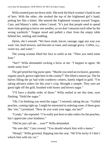Willa strutted past me down aisle. She took the black woman's hand in one of hers. With the other, she stroked the top of the frightened girl's hand, petting her like a kitten. She steered the frightened woman toward Teague, Cam, and Manny's table, where I stood. "It's just that people need to spend more time getting to know one another, so we don't measure each other by the wrong yardstick." Teague stood and pulled a chair from the empty table behind her, smiling and nodding.

*Damn, she's smooth.* "We have steak, bacon, sausage, eggs any way you want 'em, hash browns, and biscuits or toast, and sausage gravy. Coffee, o.j., sweet tea, and water."

The young woman lifted her face to smile at me. "Then you need some fruit."

"See?" Willa demanded cocking a brow at me. "I happen to agree. He needs some fruit."

The girl pried her big purse open. "Maybe you need an exclusive, gourmet, organic peach, grown right here in the county?" She lifted a mason jar. The fat halves filling the jar had wide cranberry centers, barely edged in gold. "I'm taking advance orders for this year's crop. Brought a sample. They sure are good right off the grill, brushed with honey and brown sugar."

"I'll have a double order of those." Willa smiled at me this time, eyes flashing. "Hold the sugar."

"Oh, I'm thinking you need the sugar," I retorted, taking the jar. "Grilled peaches, coming right up. I might be interested in ordering some, if these guys like 'em," I promised. "How do you want your eggs, ma'am?"

"Cynda," she repeated. "I'm really just here to take orders for the peaches, but I appreciate your kindness."

"Did he just call me… *sour*?" Willa demanded.

"He sure did," Cam crowed. "You should whack him with a menu."

"Hrmpf," Willa growled, flopping into her seat. "He'll be lucky if I don't whack him with my car."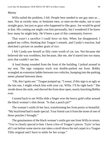## *Manny*

Willa nailed the problem, I felt. People here needed to see gay men as... men. Not as swishy men, or feminine men, or men-on-the-make, out to turn straight guys, but just as guys who happened to like guys. Joe would be good at that. His coming out might cost him personally, but I wondered if he knew how many he might help. He'd been a part of this community forever.

That wasn't a sacrifice I could force on him. When Joe disappeared, I gulped my coffee, thinking that Teague's remark, and Cynda's reaction, had sketched a picture on another grain of rice.

I felt Cynda saw herself as fifty cents worth of cat, too. Not because she believed she was worthless, but because, like me, she'd stared into too many eyes that couldn't see her.

A loud thump sounded from the front of the building. I jerked around in my seat. The sign company truck was double-parked out front. Bobby wrangled an extension ladder between two vehicles, bumping into the parking meter planted between them.

"Oh, this I gotta see." Teague jumped up. "I swear, if this sign is as ugly as the last one, I might whack him with your car, Willa. I'll be right back." She strode down the aisle, and shoved the front door open, nearly knocking Bobby over.

I turned back to see Willa slide a finger over the heavy gold collar around the black woman's slim throat. "Is that a peach pit?"

The woman's smile lit her face, transforming her from pretty to beautiful. "My boyfriend had it made special. Your friend cast it fromthe stone of one of those peaches I brought."

The genuineness of the black woman's smile got one from Willa in return. "You're clearly special to him. I have a few of Teague's pieces. Tryin' to buy all I can before some movie star takes a stroll down the red carpet in a Teague Tillis original and I have to settle for her scraps."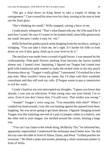"She got a shop down on King Street to take a couple of things on consignment." Cam crossed his arms over his chest, turning in his seat to look out the front glass.

"She's thinking too small," Willa snapped, raising a brow at me.

Cynda nearly whispered. "That's what Daniel tells me. He'd be mad if he'd seen how I acted. He says if I expect to be treated small, most folks gonna treat me small, because I make it easy for 'em."

Willa flicked the golden peach stone dangling from the necklace, setting it swinging. "You can take it from me, he's right. It's harder for folks to look down on you if they gotta climb up to your level to do it."

The necklace was made from a wreath of gold leaves. I was amazed by the craftsmanship. Pink-gold flowers peeking from between the leaves looked almost real. I leaned close. Squinting, I figured out Teague had coated rose gold with translucent pink enamel to make the etched veins in the tiny peach blossoms show up. "Teague's really gifted," I murmured. I'd worked for a few pop stars. Most wouldn't know my name, but I'd slept with their wardrobe consultants and *they* still took my calls. *If Teague wants to pay a commission to sell her work…*

Cynda's hand on my arm interrupted my thoughts. "I guess you know that already. I saw you on television. If that young man was your friend, I'm so sorry. Even if you don't know him, I'm still sorry. That verdict was wrong."

"Joseph!" Teague's voice rang out. "You miserable little thief!" When I cranked my head around, Isaw she wasleaning against the opened front door, laughing. Joe was never going to get heart disease, I figured. Hanging around Teague was like fastening one end of a pair of jumper cables to a battery, and the other end to your tongue. Joe strolled around the corner, bearing a large tray.

"You can't lay claim to the whole thing, McBitchy Tits," he informed her, apparently unperturbed. I understood the nickname much better now. He slid the tray onto the table in front of Jillian, Dylan, and Went. "Grilled peaches for everyone." He lifted a plate and turned, plunking a white stoneware platter in front of Willa.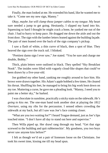Finally, the man looked at me. He extended his hand, like he wanted me to take it. "Come see my new sign, Manny."

*Okay, maybe Joe will clamp those jumper cables to my tongue*. My heart sure needed a jump to get going. Hesitantly, I slipped my hand into his. Squeezing so hard I thought he might crack a bone, he yanked me out of the chair. I had to hurry to keep pace. He dragged me down the aisle and out the front door. The sign with the lumber letters leaned against the building façade. The pair of men leaned over the back of the sign company's pickup.

I saw a flash of white, a thin curve of black, then a spot of blue. They heaved the sign over the truck rail. I blinked.

"Prettiest damn sign I ever saw," Joe stated. "You be sure and charge me double, Bobby."

Thick, plain letters were outlined in black. They spelled "Sky Breakfast Nook". The insides were filled with vaguely cloud-like shapes that could've been drawn by a five-year-old.

Joe grabbed my other hand, yanking me roughly around to face him. His brows were drawn together. His Adam's apple bobbed a few times. He cleared his throat. Shuffling his feet, he managed to bring his big work boot down on my toe. Muttering a curse, he gave me a pleading look. "Manny, I need you to paint me a better sky," he barked.

I was chocolate in sunshine, practically a sticky stain on the sidewalk. *He's going to kiss me.* The one-man band took another shot at playing the *1812 Overture,* using my ribs for the percussion. I sensed others crowding the sidewalk at my back, but all I saw was Joe's face coming closer.

"What are you two waiting for?" I heard Teague demand, just as Joe's lips touched mine. "I don't have all day to stand out here and supervise."

Then Willa piped up. Her drawl rang through my head. "Get that sign screwed to the building and quit rubberneckin'. My goodness, you two boys never saw anyone kiss before?"

I felt as though we'd set a pair of lionesses loose on the Christians. Joe took his sweet time, kissing me till my head spun.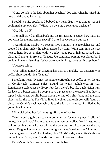"Gotta go talk to the lady about her peaches," Joe said, when he raised his head and dropped his arms.

I couldn't quite speak, so I bobbed my head. But it was time to see if I could make my own sky. "Willa, you owe me a severance package."

"Oh, I do, do I?"

The small crowd shuffled back into the restaurant. "Teague, how much do you want for the mezzanine space?" I asked as we retook our seats.

"I wasthinking maybe two-seventy-five a month." She retook her seat and scooted her chair under the table, assisted by Cam. Willa sank into the seat next to hers. Joe set a plate with two ruby-toned peach halves, striped with black grill marks, in front of Teague. Joe continued passing out plates, but I could tell he was listening. "What were you thinking about putting up there?"

"A coffee salon."

"Oh!" Jillian jumped up, dragging her chair to our table. "Go on, Manny. A coffee shop sounds nice, Teague."

Ishook my head. "No, not just another coffee shop. A coffee *salon*. Picture it. Comfortable, armless sofas around the walls, upholstered in rich, Renaissance-style tapestry. Every few feet, there'd be, like a television tray, for lack of a better term. So people have a place to sit the coffee. But they're topped with clear, acrylic boxes about the size of a shirt box, and the base slides under the sofas They'll be lined in velvet, and each box will feature a piece like Cynda's necklace, which is to-die-for, by the way." I smiled at the young black woman.

Willa picked up her fork, cutting off a bite of her fruit.

"Well, you're going to pay me commission for every piece I sell, and honey, I can sell that." I pointed toward the fabulous collar. "And I'm going to sell coffee, but the real draw will be the conversation. I can deliver the gay crowd, Teague. Let your customers mingle with us. We don't bite." I turned to the young woman who'd inspired my plan. "And Cynda, your coffee is always on the house. Bring your friends. Let's get to know each other."

Cynda's smile just made me want to smile back.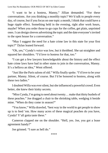"I want to be a hostess, Manny," Jillian demanded. "For these conversations. Are you thinking a monthly topic? We'd talk to people every day, of course, but if you focus on one topic a month, I think that could have a huge ripple effect. Something held in the evening, right after work hours, maybe? When you order those to-go cups for the coffee, get plain, unprinted ones. I can design sleeves advertising the topic and the date everyone'sinvited to the open house for a conversation."

"May I suggest the need for a hate crime law in this state for your first topic?" Dylan leaned forward.

"Oh, yes," Cynda's voice was low, but it throbbed. She sat straighter and squared her shoulders. "I'd love to hostess for that, too."

"I can get a few lawyers knowledgeable about the history and the effect hate crime laws have had in other states to join in the conversation, Manny. It's a helluva an idea," Went offered.

"Just like the Parissalons of old." Willa finally spoke. "I'd love to be your partner, Manny. Silent, of course. But I'd be honored to hostess, along with these two ladies."

I doubted Willa was ever silent, but she influenced a powerful crowd. Even better, she knew their kinky secrets.

"Miss Cynda, I'mgoing to need about twenty… make that thirty bushels of these peaches." Joe dragged a chair to the shrinking table, wedging it beside mine. "When do they come in season?"

"You know," Willa drawled, "best way in the world to get people to show up is to feed 'em. How many acres of these magical peaches do you have, Cynda? Y'all gotta taste these."

Cameron clapped me on the shoulder. "Hell, yes. Joe, you got a lease agreement handy?"

Joe grinned. "I sure as hell do."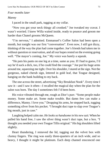### *Four months later*

### *Manny*

I paced in the small park, tugging at my collar.

"Now you got your neck thingy all crooked." Joe tweaked my cravat. I wasn't worried. I knew Willa waited inside, ready to pounce and groom me harder than Chanel grooms McQueen.

"I'm nervous," I admitted. Emmanuel's Coffee Salon had been open a month, but tonight was our first "conversation". Even now, I still got dizzy, thinking of the way the plan had come together. Joe's friends had taken me in without question or reservation, and all our hopes rested on the evening going well. "The mayor's coming, Joe." My voice was barely a squeak.

"He puts his pants on one leg at a time, same as you. If I had to guess, I'd say he'd suck a dick, too, if he could find the courage." Joe put his huge arms around me, squeezing me tight. Over hisshoulder, I stared at the sign. Not the gorgeous, naked cherub sign, lettered in gold leaf, that Teague designed, hanging on the bank building to my back.

The one across the street, advertising "Sky Breakfast Nook". Every time I saw it—and I saw it often—I recalled the magical day when the plan for the salon was born. The day I sometimes felt I'd been born.

His voice vibrated through me, rough as Dior's purr. "Some people make money. Some make art. Some make trouble. But damn few can make a difference, Manny. I love you." Dropping his arms, he stepped back, tugging something silver from his pocket. "I brought duct tape to slap over Teague's big mouth, just in case."

Laughing helped calm me. *He looksso handsome in his new suit.* When he pulled his hand free, I saw the silver thing wasn't duct tape, but a box. "I thought you needed your own Teague Tillis original." His big shoulders lifted slightly.

Heart thundering, I removed the lid, tugging out the velvet box with clumsy fingers. The ring was easily three-quarters of an inch wide, and so heavy, I thought it might be platinum. Each deep channel ensconced one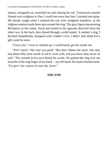skinny, elongated cat, stretched out and chasing his tail. Translucent enamel floated over sculpture so fine, I could see every tiny hair. I stroked one spine. My breath caught when I realized the cats were weighted somehow, so the slightest motion made them spin around the ring. The gray figure representing McQueen, in the center, faced and turned in the opposite direction from the other two. In the back, they darted through a solid tunnel. A mother's ring, I decided immediately, designed with a father's love. I didn't dare think Joe's gift could be more.

"I love you." I was so choked up, I could barely get the words out.

"Ain't much." His tone was gruff. "But don't blame the artist. She only had about fifty cents worth of cat to work with, and you know they never sit still." The warmth in his eyes belied his words. He pushed the ring over my knuckle of the ring finger of my hand… my left hand. His hand clutched mine. "Go give 'em a piece of your sky, lover."

#### **THE END**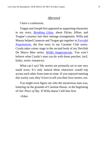## *Afterword*

I have a confession.

Teague and Joseph first appeared as supporting characters in my story, *[Breaking](http://www.goodreads.com/book/show/17688468-breaking-glass) Glass*, about Dylan, Jillian, and Teague's journey into their ménage arrangement. Willa and Manny helped Cameron and Teague get together in *[Forceful](http://www.goodreads.com/book/show/17261504-forceful-negotiations) [Negotiations](http://www.goodreads.com/book/show/17261504-forceful-negotiations)*, the first story in my Carmine Club series. Cynda takes center stage in the second book of my Devilish De Marco Men series, *Wildly [Inappropriate](http://www.goodreads.com/book/show/15784701-wildly-inappropriate)*. You won't believe what Cynda's man can do with those peaches. (m/f, kinky, erotic romances)

What can I say? My stories are primarily set in one very small town. It's only natural these characters would trip across each other from time-to-time. If you enjoyed meeting this wacky cast, they'd love to tell you their love stories, too.

You might even figure out who the mysterious man was, loitering on the grounds of Carmine House, in the beginning of *Our Piece of Sky*. If Willa doesn't kill him first.

~Eden